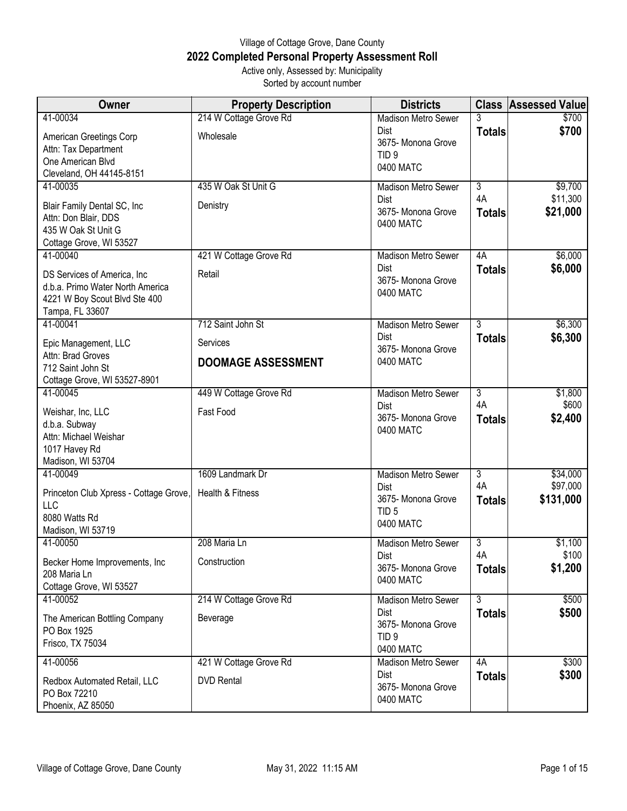## Village of Cottage Grove, Dane County **2022 Completed Personal Property Assessment Roll** Active only, Assessed by: Municipality

Sorted by account number

| Owner                                            | <b>Property Description</b> | <b>Districts</b>                       |                      | <b>Class Assessed Value</b> |
|--------------------------------------------------|-----------------------------|----------------------------------------|----------------------|-----------------------------|
| 41-00034                                         | 214 W Cottage Grove Rd      | <b>Madison Metro Sewer</b>             | 3                    | \$700                       |
| American Greetings Corp                          | Wholesale                   | <b>Dist</b>                            | <b>Totals</b>        | \$700                       |
| Attn: Tax Department                             |                             | 3675- Monona Grove<br>TID <sub>9</sub> |                      |                             |
| One American Blvd                                |                             | 0400 MATC                              |                      |                             |
| Cleveland, OH 44145-8151                         |                             |                                        |                      |                             |
| 41-00035                                         | 435 W Oak St Unit G         | Madison Metro Sewer<br>Dist            | $\overline{3}$<br>4A | \$9,700<br>\$11,300         |
| Blair Family Dental SC, Inc                      | Denistry                    | 3675- Monona Grove                     | <b>Totals</b>        | \$21,000                    |
| Attn: Don Blair, DDS                             |                             | 0400 MATC                              |                      |                             |
| 435 W Oak St Unit G                              |                             |                                        |                      |                             |
| Cottage Grove, WI 53527<br>41-00040              | 421 W Cottage Grove Rd      | <b>Madison Metro Sewer</b>             | 4A                   | \$6,000                     |
|                                                  |                             | Dist                                   | <b>Totals</b>        | \$6,000                     |
| DS Services of America, Inc.                     | Retail                      | 3675- Monona Grove                     |                      |                             |
| d.b.a. Primo Water North America                 |                             | 0400 MATC                              |                      |                             |
| 4221 W Boy Scout Blvd Ste 400<br>Tampa, FL 33607 |                             |                                        |                      |                             |
| 41-00041                                         | 712 Saint John St           | Madison Metro Sewer                    | $\overline{3}$       | \$6,300                     |
|                                                  |                             | Dist                                   | <b>Totals</b>        | \$6,300                     |
| Epic Management, LLC<br>Attn: Brad Groves        | Services                    | 3675- Monona Grove                     |                      |                             |
| 712 Saint John St                                | <b>DOOMAGE ASSESSMENT</b>   | 0400 MATC                              |                      |                             |
| Cottage Grove, WI 53527-8901                     |                             |                                        |                      |                             |
| 41-00045                                         | 449 W Cottage Grove Rd      | <b>Madison Metro Sewer</b>             | $\overline{3}$       | \$1,800                     |
| Weishar, Inc, LLC                                | Fast Food                   | Dist                                   | 4A                   | \$600                       |
| d.b.a. Subway                                    |                             | 3675- Monona Grove                     | <b>Totals</b>        | \$2,400                     |
| Attn: Michael Weishar                            |                             | 0400 MATC                              |                      |                             |
| 1017 Havey Rd                                    |                             |                                        |                      |                             |
| Madison, WI 53704                                |                             |                                        |                      |                             |
| 41-00049                                         | 1609 Landmark Dr            | <b>Madison Metro Sewer</b>             | $\overline{3}$<br>4A | \$34,000                    |
| Princeton Club Xpress - Cottage Grove,           | Health & Fitness            | Dist<br>3675- Monona Grove             | <b>Totals</b>        | \$97,000<br>\$131,000       |
| LLC                                              |                             | TID <sub>5</sub>                       |                      |                             |
| 8080 Watts Rd                                    |                             | 0400 MATC                              |                      |                             |
| Madison, WI 53719<br>41-00050                    | 208 Maria Ln                | Madison Metro Sewer                    | 3                    | \$1,100                     |
|                                                  |                             | Dist                                   | 4A                   | \$100                       |
| Becker Home Improvements, Inc.                   | Construction                | 3675- Monona Grove                     | <b>Totals</b>        | \$1,200                     |
| 208 Maria Ln<br>Cottage Grove, WI 53527          |                             | 0400 MATC                              |                      |                             |
| 41-00052                                         | 214 W Cottage Grove Rd      | Madison Metro Sewer                    | $\overline{3}$       | \$500                       |
|                                                  |                             | Dist                                   | <b>Totals</b>        | \$500                       |
| The American Bottling Company                    | Beverage                    | 3675- Monona Grove                     |                      |                             |
| PO Box 1925<br>Frisco, TX 75034                  |                             | TID <sub>9</sub>                       |                      |                             |
|                                                  |                             | 0400 MATC                              |                      |                             |
| 41-00056                                         | 421 W Cottage Grove Rd      | <b>Madison Metro Sewer</b>             | 4A                   | \$300                       |
| Redbox Automated Retail, LLC                     | <b>DVD Rental</b>           | Dist<br>3675- Monona Grove             | <b>Totals</b>        | \$300                       |
| PO Box 72210                                     |                             | 0400 MATC                              |                      |                             |
| Phoenix, AZ 85050                                |                             |                                        |                      |                             |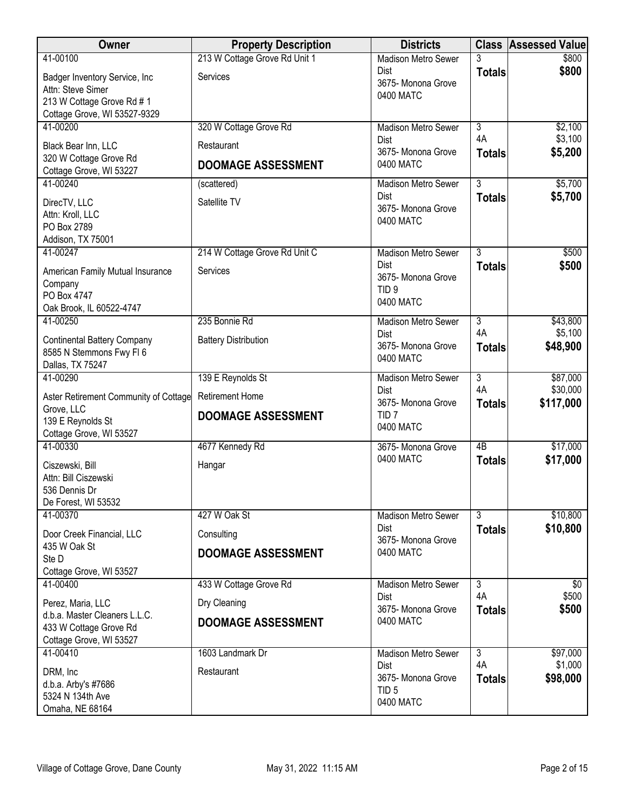| Owner                                                                                                            | <b>Property Description</b>   | <b>Districts</b>                                                   |                     | <b>Class Assessed Value</b> |
|------------------------------------------------------------------------------------------------------------------|-------------------------------|--------------------------------------------------------------------|---------------------|-----------------------------|
| 41-00100                                                                                                         | 213 W Cottage Grove Rd Unit 1 | <b>Madison Metro Sewer</b>                                         | 3                   | \$800                       |
| Badger Inventory Service, Inc<br>Attn: Steve Simer<br>213 W Cottage Grove Rd # 1<br>Cottage Grove, WI 53527-9329 | Services                      | <b>Dist</b><br>3675- Monona Grove<br>0400 MATC                     | <b>Totals</b>       | \$800                       |
| 41-00200                                                                                                         | 320 W Cottage Grove Rd        | <b>Madison Metro Sewer</b>                                         | $\overline{3}$      | \$2,100                     |
| Black Bear Inn, LLC                                                                                              | Restaurant                    | <b>Dist</b><br>3675- Monona Grove                                  | 4A<br><b>Totals</b> | \$3,100<br>\$5,200          |
| 320 W Cottage Grove Rd<br>Cottage Grove, WI 53227                                                                | <b>DOOMAGE ASSESSMENT</b>     | 0400 MATC                                                          |                     |                             |
| 41-00240                                                                                                         | (scattered)                   | <b>Madison Metro Sewer</b>                                         | $\overline{3}$      | \$5,700                     |
| DirecTV, LLC<br>Attn: Kroll, LLC<br>PO Box 2789<br>Addison, TX 75001                                             | Satellite TV                  | Dist<br>3675- Monona Grove<br>0400 MATC                            | <b>Totals</b>       | \$5,700                     |
| 41-00247                                                                                                         | 214 W Cottage Grove Rd Unit C | Madison Metro Sewer                                                | $\overline{3}$      | \$500                       |
| American Family Mutual Insurance<br>Company<br>PO Box 4747<br>Oak Brook, IL 60522-4747                           | Services                      | <b>Dist</b><br>3675- Monona Grove<br>TID <sub>9</sub><br>0400 MATC | <b>Totals</b>       | \$500                       |
| 41-00250                                                                                                         | 235 Bonnie Rd                 | <b>Madison Metro Sewer</b>                                         | $\overline{3}$      | \$43,800                    |
| <b>Continental Battery Company</b><br>8585 N Stemmons Fwy FI 6<br>Dallas, TX 75247                               | <b>Battery Distribution</b>   | <b>Dist</b><br>3675- Monona Grove<br>0400 MATC                     | 4A<br><b>Totals</b> | \$5,100<br>\$48,900         |
| 41-00290                                                                                                         | 139 E Reynolds St             | <b>Madison Metro Sewer</b>                                         | $\overline{3}$      | \$87,000                    |
| Aster Retirement Community of Cottage                                                                            | <b>Retirement Home</b>        | <b>Dist</b><br>3675- Monona Grove                                  | 4A<br><b>Totals</b> | \$30,000<br>\$117,000       |
| Grove, LLC<br>139 E Reynolds St<br>Cottage Grove, WI 53527                                                       | <b>DOOMAGE ASSESSMENT</b>     | TID <sub>7</sub><br>0400 MATC                                      |                     |                             |
| 41-00330                                                                                                         | 4677 Kennedy Rd               | 3675-Monona Grove                                                  | $\overline{AB}$     | \$17,000                    |
| Ciszewski, Bill<br>Attn: Bill Ciszewski<br>536 Dennis Dr<br>De Forest, WI 53532                                  | Hangar                        | 0400 MATC                                                          | <b>Totals</b>       | \$17,000                    |
| 41-00370                                                                                                         | 427 W Oak St                  | <b>Madison Metro Sewer</b>                                         | $\overline{3}$      | \$10,800                    |
| Door Creek Financial, LLC                                                                                        | Consulting                    | <b>Dist</b><br>3675- Monona Grove                                  | <b>Totals</b>       | \$10,800                    |
| 435 W Oak St<br>Ste D                                                                                            | <b>DOOMAGE ASSESSMENT</b>     | 0400 MATC                                                          |                     |                             |
| Cottage Grove, WI 53527                                                                                          |                               |                                                                    |                     |                             |
| 41-00400                                                                                                         | 433 W Cottage Grove Rd        | <b>Madison Metro Sewer</b>                                         | $\overline{3}$      | \$0                         |
| Perez, Maria, LLC                                                                                                | Dry Cleaning                  | <b>Dist</b><br>3675- Monona Grove                                  | 4A<br><b>Totals</b> | \$500<br>\$500              |
| d.b.a. Master Cleaners L.L.C.<br>433 W Cottage Grove Rd                                                          | <b>DOOMAGE ASSESSMENT</b>     | 0400 MATC                                                          |                     |                             |
| Cottage Grove, WI 53527                                                                                          |                               |                                                                    |                     |                             |
| 41-00410                                                                                                         | 1603 Landmark Dr              | Madison Metro Sewer                                                | $\overline{3}$      | \$97,000                    |
| DRM, Inc                                                                                                         | Restaurant                    | Dist                                                               | 4A                  | \$1,000                     |
| d.b.a. Arby's #7686                                                                                              |                               | 3675- Monona Grove<br>TID <sub>5</sub>                             | <b>Totals</b>       | \$98,000                    |
| 5324 N 134th Ave<br>Omaha, NE 68164                                                                              |                               | 0400 MATC                                                          |                     |                             |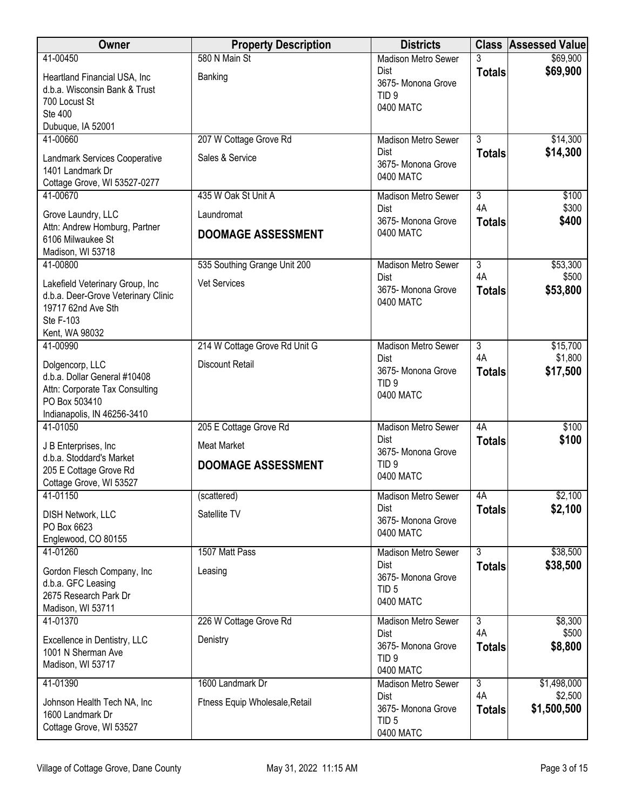| Owner                                                     | <b>Property Description</b>    | <b>Districts</b>                       |                           | <b>Class Assessed Value</b> |
|-----------------------------------------------------------|--------------------------------|----------------------------------------|---------------------------|-----------------------------|
| 41-00450                                                  | 580 N Main St                  | <b>Madison Metro Sewer</b>             | 3                         | \$69,900                    |
| Heartland Financial USA, Inc                              | Banking                        | <b>Dist</b><br>3675- Monona Grove      | <b>Totals</b>             | \$69,900                    |
| d.b.a. Wisconsin Bank & Trust                             |                                | TID <sub>9</sub>                       |                           |                             |
| 700 Locust St                                             |                                | 0400 MATC                              |                           |                             |
| Ste 400<br>Dubuque, IA 52001                              |                                |                                        |                           |                             |
| 41-00660                                                  | 207 W Cottage Grove Rd         | <b>Madison Metro Sewer</b>             | $\overline{3}$            | \$14,300                    |
|                                                           | Sales & Service                | Dist                                   | <b>Totals</b>             | \$14,300                    |
| Landmark Services Cooperative<br>1401 Landmark Dr         |                                | 3675- Monona Grove                     |                           |                             |
| Cottage Grove, WI 53527-0277                              |                                | 0400 MATC                              |                           |                             |
| 41-00670                                                  | 435 W Oak St Unit A            | <b>Madison Metro Sewer</b>             | $\overline{3}$            | \$100                       |
| Grove Laundry, LLC                                        | Laundromat                     | <b>Dist</b>                            | 4A                        | \$300                       |
| Attn: Andrew Homburg, Partner                             |                                | 3675- Monona Grove<br>0400 MATC        | <b>Totals</b>             | \$400                       |
| 6106 Milwaukee St                                         | <b>DOOMAGE ASSESSMENT</b>      |                                        |                           |                             |
| Madison, WI 53718                                         |                                |                                        |                           |                             |
| 41-00800                                                  | 535 Southing Grange Unit 200   | <b>Madison Metro Sewer</b><br>Dist     | $\overline{3}$<br>4A      | \$53,300<br>\$500           |
| Lakefield Veterinary Group, Inc                           | Vet Services                   | 3675- Monona Grove                     | <b>Totals</b>             | \$53,800                    |
| d.b.a. Deer-Grove Veterinary Clinic<br>19717 62nd Ave Sth |                                | 0400 MATC                              |                           |                             |
| <b>Ste F-103</b>                                          |                                |                                        |                           |                             |
| Kent, WA 98032                                            |                                |                                        |                           |                             |
| 41-00990                                                  | 214 W Cottage Grove Rd Unit G  | <b>Madison Metro Sewer</b>             | $\overline{3}$            | \$15,700                    |
| Dolgencorp, LLC                                           | <b>Discount Retail</b>         | Dist                                   | 4A                        | \$1,800                     |
| d.b.a. Dollar General #10408                              |                                | 3675- Monona Grove<br>TID <sub>9</sub> | <b>Totals</b>             | \$17,500                    |
| Attn: Corporate Tax Consulting                            |                                | 0400 MATC                              |                           |                             |
| PO Box 503410<br>Indianapolis, IN 46256-3410              |                                |                                        |                           |                             |
| 41-01050                                                  | 205 E Cottage Grove Rd         | <b>Madison Metro Sewer</b>             | 4A                        | \$100                       |
| J B Enterprises, Inc.                                     | <b>Meat Market</b>             | <b>Dist</b>                            | <b>Totals</b>             | \$100                       |
| d.b.a. Stoddard's Market                                  |                                | 3675- Monona Grove                     |                           |                             |
| 205 E Cottage Grove Rd                                    | <b>DOOMAGE ASSESSMENT</b>      | TID <sub>9</sub>                       |                           |                             |
| Cottage Grove, WI 53527                                   |                                | 0400 MATC                              |                           |                             |
| 41-01150                                                  | (scattered)                    | Madison Metro Sewer                    | 4A                        | \$2,100                     |
| <b>DISH Network, LLC</b>                                  | Satellite TV                   | <b>Dist</b><br>3675- Monona Grove      | <b>Totals</b>             | \$2,100                     |
| PO Box 6623                                               |                                | 0400 MATC                              |                           |                             |
| Englewood, CO 80155<br>41-01260                           | 1507 Matt Pass                 | <b>Madison Metro Sewer</b>             | $\overline{\overline{3}}$ | \$38,500                    |
|                                                           |                                | <b>Dist</b>                            | <b>Totals</b>             | \$38,500                    |
| Gordon Flesch Company, Inc<br>d.b.a. GFC Leasing          | Leasing                        | 3675- Monona Grove                     |                           |                             |
| 2675 Research Park Dr                                     |                                | TID <sub>5</sub>                       |                           |                             |
| Madison, WI 53711                                         |                                | 0400 MATC                              |                           |                             |
| 41-01370                                                  | 226 W Cottage Grove Rd         | Madison Metro Sewer                    | $\overline{3}$            | \$8,300                     |
| Excellence in Dentistry, LLC                              | Denistry                       | <b>Dist</b>                            | 4A                        | \$500                       |
| 1001 N Sherman Ave                                        |                                | 3675- Monona Grove<br>TID <sub>9</sub> | <b>Totals</b>             | \$8,800                     |
| Madison, WI 53717                                         |                                | 0400 MATC                              |                           |                             |
| 41-01390                                                  | 1600 Landmark Dr               | Madison Metro Sewer                    | 3                         | \$1,498,000                 |
| Johnson Health Tech NA, Inc                               | Ftness Equip Wholesale, Retail | <b>Dist</b>                            | 4A                        | \$2,500                     |
| 1600 Landmark Dr                                          |                                | 3675- Monona Grove<br>TID <sub>5</sub> | <b>Totals</b>             | \$1,500,500                 |
| Cottage Grove, WI 53527                                   |                                | 0400 MATC                              |                           |                             |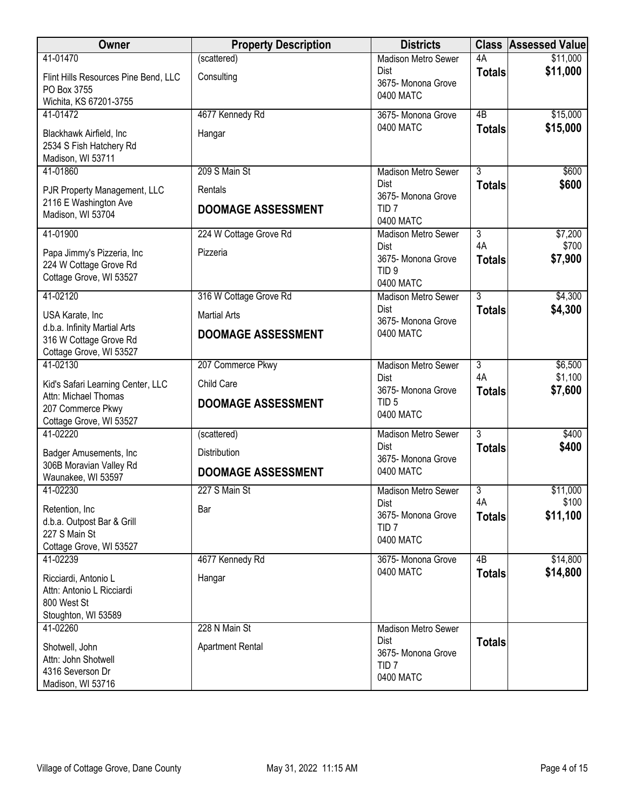| Owner                                                                                    | <b>Property Description</b> | <b>Districts</b>                                                   |                     | <b>Class Assessed Value</b> |
|------------------------------------------------------------------------------------------|-----------------------------|--------------------------------------------------------------------|---------------------|-----------------------------|
| 41-01470                                                                                 | (scattered)                 | <b>Madison Metro Sewer</b>                                         | 4A                  | \$11,000                    |
| Flint Hills Resources Pine Bend, LLC<br>PO Box 3755<br>Wichita, KS 67201-3755            | Consulting                  | Dist<br>3675- Monona Grove<br>0400 MATC                            | <b>Totals</b>       | \$11,000                    |
| 41-01472                                                                                 | 4677 Kennedy Rd             | 3675- Monona Grove                                                 | $\overline{AB}$     | \$15,000                    |
| Blackhawk Airfield, Inc<br>2534 S Fish Hatchery Rd<br>Madison, WI 53711                  | Hangar                      | 0400 MATC                                                          | <b>Totals</b>       | \$15,000                    |
| 41-01860                                                                                 | 209 S Main St               | <b>Madison Metro Sewer</b>                                         | $\overline{3}$      | \$600                       |
| PJR Property Management, LLC                                                             | Rentals                     | <b>Dist</b><br>3675- Monona Grove                                  | <b>Totals</b>       | \$600                       |
| 2116 E Washington Ave<br>Madison, WI 53704                                               | <b>DOOMAGE ASSESSMENT</b>   | TID <sub>7</sub><br>0400 MATC                                      |                     |                             |
| 41-01900                                                                                 | 224 W Cottage Grove Rd      | <b>Madison Metro Sewer</b>                                         | $\overline{3}$      | \$7,200                     |
| Papa Jimmy's Pizzeria, Inc<br>224 W Cottage Grove Rd<br>Cottage Grove, WI 53527          | Pizzeria                    | <b>Dist</b><br>3675- Monona Grove<br>TID <sub>9</sub><br>0400 MATC | 4A<br><b>Totals</b> | \$700<br>\$7,900            |
| 41-02120                                                                                 | 316 W Cottage Grove Rd      | Madison Metro Sewer                                                | $\overline{3}$      | \$4,300                     |
| USA Karate, Inc                                                                          | <b>Martial Arts</b>         | <b>Dist</b><br>3675- Monona Grove                                  | <b>Totals</b>       | \$4,300                     |
| d.b.a. Infinity Martial Arts<br>316 W Cottage Grove Rd<br>Cottage Grove, WI 53527        | <b>DOOMAGE ASSESSMENT</b>   | 0400 MATC                                                          |                     |                             |
| 41-02130                                                                                 | 207 Commerce Pkwy           | <b>Madison Metro Sewer</b>                                         | $\overline{3}$      | \$6,500                     |
| Kid's Safari Learning Center, LLC                                                        | Child Care                  | <b>Dist</b><br>3675- Monona Grove                                  | 4A<br><b>Totals</b> | \$1,100<br>\$7,600          |
| Attn: Michael Thomas<br>207 Commerce Pkwy<br>Cottage Grove, WI 53527                     | <b>DOOMAGE ASSESSMENT</b>   | TID <sub>5</sub><br>0400 MATC                                      |                     |                             |
| 41-02220                                                                                 | (scattered)                 | <b>Madison Metro Sewer</b>                                         | $\overline{3}$      | \$400                       |
| Badger Amusements, Inc                                                                   | Distribution                | Dist<br>3675- Monona Grove                                         | <b>Totals</b>       | \$400                       |
| 306B Moravian Valley Rd<br>Waunakee, WI 53597                                            | <b>DOOMAGE ASSESSMENT</b>   | 0400 MATC                                                          |                     |                             |
| 41-02230                                                                                 | 227 S Main St               | Madison Metro Sewer                                                | $\overline{3}$      | \$11,000                    |
| Retention, Inc<br>d.b.a. Outpost Bar & Grill<br>227 S Main St<br>Cottage Grove, WI 53527 | Bar                         | Dist<br>3675- Monona Grove<br>TID <sub>7</sub><br>0400 MATC        | 4A<br><b>Totals</b> | \$100<br>\$11,100           |
| 41-02239                                                                                 | 4677 Kennedy Rd             | 3675- Monona Grove                                                 | 4B                  | \$14,800                    |
| Ricciardi, Antonio L<br>Attn: Antonio L Ricciardi<br>800 West St<br>Stoughton, WI 53589  | Hangar                      | 0400 MATC                                                          | <b>Totals</b>       | \$14,800                    |
| 41-02260                                                                                 | 228 N Main St               | Madison Metro Sewer                                                |                     |                             |
| Shotwell, John<br>Attn: John Shotwell<br>4316 Severson Dr<br>Madison, WI 53716           | <b>Apartment Rental</b>     | <b>Dist</b><br>3675- Monona Grove<br>TID <sub>7</sub><br>0400 MATC | <b>Totals</b>       |                             |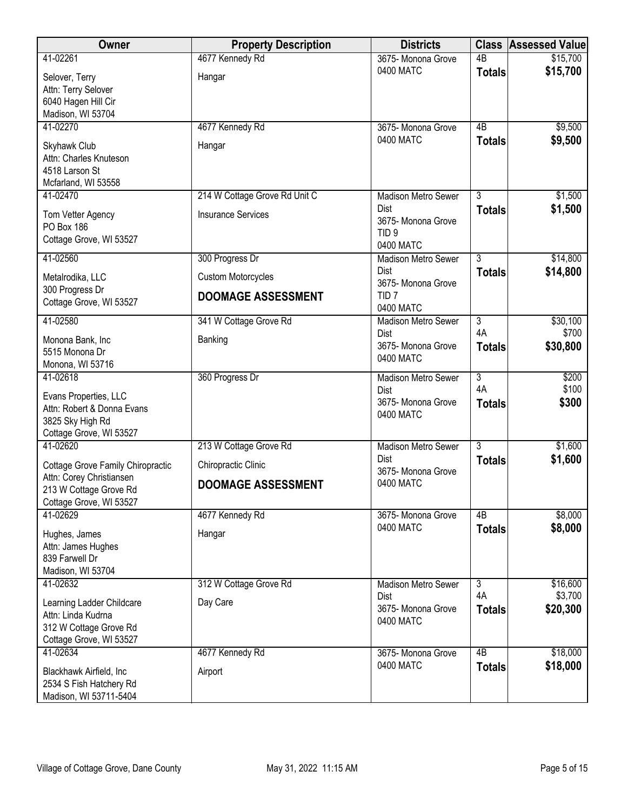| Owner                                             | <b>Property Description</b>   | <b>Districts</b>                          | <b>Class</b>    | <b>Assessed Value</b> |
|---------------------------------------------------|-------------------------------|-------------------------------------------|-----------------|-----------------------|
| 41-02261                                          | 4677 Kennedy Rd               | 3675- Monona Grove                        | $\overline{AB}$ | \$15,700              |
| Selover, Terry                                    | Hangar                        | 0400 MATC                                 | <b>Totals</b>   | \$15,700              |
| Attn: Terry Selover                               |                               |                                           |                 |                       |
| 6040 Hagen Hill Cir                               |                               |                                           |                 |                       |
| Madison, WI 53704<br>41-02270                     |                               |                                           |                 |                       |
|                                                   | 4677 Kennedy Rd               | 3675- Monona Grove<br>0400 MATC           | 4B              | \$9,500<br>\$9,500    |
| Skyhawk Club                                      | Hangar                        |                                           | <b>Totals</b>   |                       |
| Attn: Charles Knuteson                            |                               |                                           |                 |                       |
| 4518 Larson St<br>Mcfarland, WI 53558             |                               |                                           |                 |                       |
| 41-02470                                          | 214 W Cottage Grove Rd Unit C | <b>Madison Metro Sewer</b>                | $\overline{3}$  | \$1,500               |
|                                                   |                               | <b>Dist</b>                               | <b>Totals</b>   | \$1,500               |
| Tom Vetter Agency<br>PO Box 186                   | <b>Insurance Services</b>     | 3675- Monona Grove                        |                 |                       |
| Cottage Grove, WI 53527                           |                               | TID <sub>9</sub>                          |                 |                       |
|                                                   |                               | 0400 MATC                                 |                 |                       |
| 41-02560                                          | 300 Progress Dr               | <b>Madison Metro Sewer</b><br><b>Dist</b> | $\overline{3}$  | \$14,800              |
| Metalrodika, LLC                                  | <b>Custom Motorcycles</b>     | 3675- Monona Grove                        | <b>Totals</b>   | \$14,800              |
| 300 Progress Dr                                   | <b>DOOMAGE ASSESSMENT</b>     | TID <sub>7</sub>                          |                 |                       |
| Cottage Grove, WI 53527                           |                               | 0400 MATC                                 |                 |                       |
| 41-02580                                          | 341 W Cottage Grove Rd        | <b>Madison Metro Sewer</b>                | $\overline{3}$  | \$30,100              |
| Monona Bank, Inc                                  | Banking                       | <b>Dist</b>                               | 4A              | \$700                 |
| 5515 Monona Dr                                    |                               | 3675- Monona Grove                        | <b>Totals</b>   | \$30,800              |
| Monona, WI 53716                                  |                               | 0400 MATC                                 |                 |                       |
| 41-02618                                          | 360 Progress Dr               | Madison Metro Sewer                       | $\overline{3}$  | \$200                 |
| Evans Properties, LLC                             |                               | <b>Dist</b>                               | 4A              | \$100                 |
| Attn: Robert & Donna Evans                        |                               | 3675- Monona Grove<br>0400 MATC           | <b>Totals</b>   | \$300                 |
| 3825 Sky High Rd                                  |                               |                                           |                 |                       |
| Cottage Grove, WI 53527                           |                               |                                           |                 |                       |
| 41-02620                                          | 213 W Cottage Grove Rd        | <b>Madison Metro Sewer</b><br><b>Dist</b> | $\overline{3}$  | \$1,600               |
| Cottage Grove Family Chiropractic                 | Chiropractic Clinic           | 3675- Monona Grove                        | <b>Totals</b>   | \$1,600               |
| Attn: Corey Christiansen                          | <b>DOOMAGE ASSESSMENT</b>     | 0400 MATC                                 |                 |                       |
| 213 W Cottage Grove Rd<br>Cottage Grove, WI 53527 |                               |                                           |                 |                       |
| 41-02629                                          | 4677 Kennedy Rd               | 3675- Monona Grove                        | 4B              | \$8,000               |
|                                                   |                               | 0400 MATC                                 | <b>Totals</b>   | \$8,000               |
| Hughes, James                                     | Hangar                        |                                           |                 |                       |
| Attn: James Hughes<br>839 Farwell Dr              |                               |                                           |                 |                       |
| Madison, WI 53704                                 |                               |                                           |                 |                       |
| 41-02632                                          | 312 W Cottage Grove Rd        | <b>Madison Metro Sewer</b>                | $\overline{3}$  | \$16,600              |
| Learning Ladder Childcare                         | Day Care                      | <b>Dist</b>                               | 4A              | \$3,700               |
| Attn: Linda Kudrna                                |                               | 3675- Monona Grove                        | <b>Totals</b>   | \$20,300              |
| 312 W Cottage Grove Rd                            |                               | 0400 MATC                                 |                 |                       |
| Cottage Grove, WI 53527                           |                               |                                           |                 |                       |
| 41-02634                                          | 4677 Kennedy Rd               | 3675- Monona Grove                        | $\overline{AB}$ | \$18,000              |
| Blackhawk Airfield, Inc                           | Airport                       | 0400 MATC                                 | <b>Totals</b>   | \$18,000              |
| 2534 S Fish Hatchery Rd                           |                               |                                           |                 |                       |
| Madison, WI 53711-5404                            |                               |                                           |                 |                       |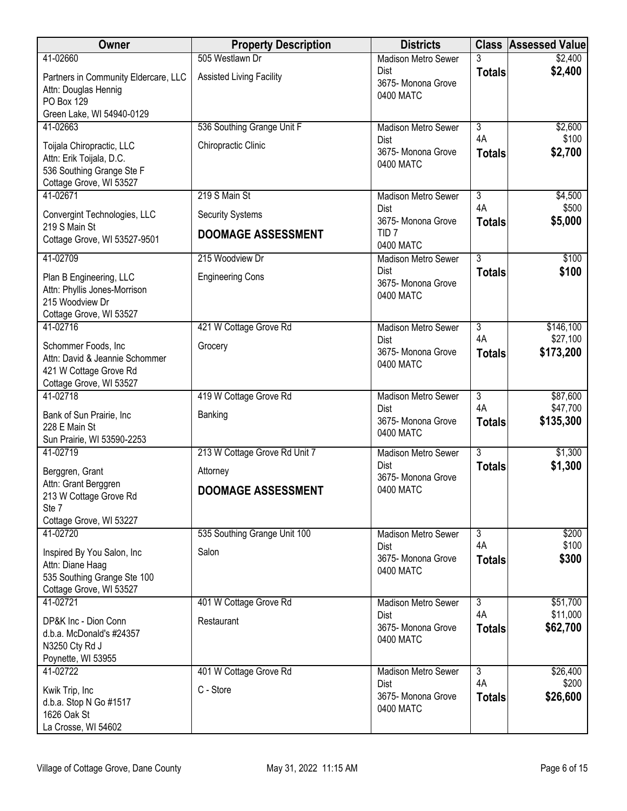| Owner                                                                                                         | <b>Property Description</b>                          | <b>Districts</b>                               |                      | <b>Class Assessed Value</b> |
|---------------------------------------------------------------------------------------------------------------|------------------------------------------------------|------------------------------------------------|----------------------|-----------------------------|
| 41-02660                                                                                                      | 505 Westlawn Dr                                      | <b>Madison Metro Sewer</b>                     | 3                    | \$2,400                     |
| Partners in Community Eldercare, LLC<br>Attn: Douglas Hennig<br>PO Box 129<br>Green Lake, WI 54940-0129       | <b>Assisted Living Facility</b>                      | Dist<br>3675- Monona Grove<br>0400 MATC        | <b>Totals</b>        | \$2,400                     |
| 41-02663                                                                                                      | 536 Southing Grange Unit F                           | Madison Metro Sewer                            | $\overline{3}$       | \$2,600                     |
| Toijala Chiropractic, LLC<br>Attn: Erik Toijala, D.C.<br>536 Southing Grange Ste F<br>Cottage Grove, WI 53527 | Chiropractic Clinic                                  | Dist<br>3675- Monona Grove<br>0400 MATC        | 4A<br><b>Totals</b>  | \$100<br>\$2,700            |
| 41-02671                                                                                                      | 219 S Main St                                        | <b>Madison Metro Sewer</b>                     | $\overline{3}$<br>4A | \$4,500                     |
| Convergint Technologies, LLC<br>219 S Main St                                                                 | <b>Security Systems</b><br><b>DOOMAGE ASSESSMENT</b> | Dist<br>3675- Monona Grove<br>TID <sub>7</sub> | <b>Totals</b>        | \$500<br>\$5,000            |
| Cottage Grove, WI 53527-9501                                                                                  |                                                      | 0400 MATC                                      |                      |                             |
| 41-02709                                                                                                      | 215 Woodview Dr                                      | <b>Madison Metro Sewer</b>                     | $\overline{3}$       | \$100                       |
| Plan B Engineering, LLC<br>Attn: Phyllis Jones-Morrison<br>215 Woodview Dr<br>Cottage Grove, WI 53527         | <b>Engineering Cons</b>                              | Dist<br>3675- Monona Grove<br>0400 MATC        | <b>Totals</b>        | \$100                       |
| 41-02716                                                                                                      | 421 W Cottage Grove Rd                               | <b>Madison Metro Sewer</b>                     | 3                    | \$146,100                   |
| Schommer Foods, Inc.<br>Attn: David & Jeannie Schommer<br>421 W Cottage Grove Rd<br>Cottage Grove, WI 53527   | Grocery                                              | Dist<br>3675- Monona Grove<br>0400 MATC        | 4A<br><b>Totals</b>  | \$27,100<br>\$173,200       |
| 41-02718                                                                                                      | 419 W Cottage Grove Rd                               | Madison Metro Sewer                            | $\overline{3}$       | \$87,600                    |
| Bank of Sun Prairie, Inc<br>228 E Main St<br>Sun Prairie, WI 53590-2253                                       | Banking                                              | <b>Dist</b><br>3675- Monona Grove<br>0400 MATC | 4A<br><b>Totals</b>  | \$47,700<br>\$135,300       |
| 41-02719                                                                                                      | 213 W Cottage Grove Rd Unit 7                        | Madison Metro Sewer                            | $\overline{3}$       | \$1,300                     |
| Berggren, Grant                                                                                               | Attorney                                             | Dist<br>3675- Monona Grove                     | <b>Totals</b>        | \$1,300                     |
| Attn: Grant Berggren<br>213 W Cottage Grove Rd<br>Ste 7<br>Cottage Grove, WI 53227                            | <b>DOOMAGE ASSESSMENT</b>                            | 0400 MATC                                      |                      |                             |
| 41-02720                                                                                                      | 535 Southing Grange Unit 100                         | <b>Madison Metro Sewer</b>                     | $\overline{3}$       | \$200                       |
| Inspired By You Salon, Inc.<br>Attn: Diane Haag<br>535 Southing Grange Ste 100<br>Cottage Grove, WI 53527     | Salon                                                | Dist<br>3675-Monona Grove<br>0400 MATC         | 4A<br><b>Totals</b>  | \$100<br>\$300              |
| 41-02721                                                                                                      | 401 W Cottage Grove Rd                               | Madison Metro Sewer                            | $\overline{3}$       | \$51,700                    |
| DP&K Inc - Dion Conn<br>d.b.a. McDonald's #24357<br>N3250 Cty Rd J<br>Poynette, WI 53955                      | Restaurant                                           | Dist<br>3675-Monona Grove<br>0400 MATC         | 4A<br><b>Totals</b>  | \$11,000<br>\$62,700        |
| 41-02722                                                                                                      | 401 W Cottage Grove Rd                               | <b>Madison Metro Sewer</b>                     | $\overline{3}$       | \$26,400                    |
| Kwik Trip, Inc<br>d.b.a. Stop N Go #1517<br>1626 Oak St<br>La Crosse, WI 54602                                | C - Store                                            | Dist<br>3675- Monona Grove<br>0400 MATC        | 4A<br><b>Totals</b>  | \$200<br>\$26,600           |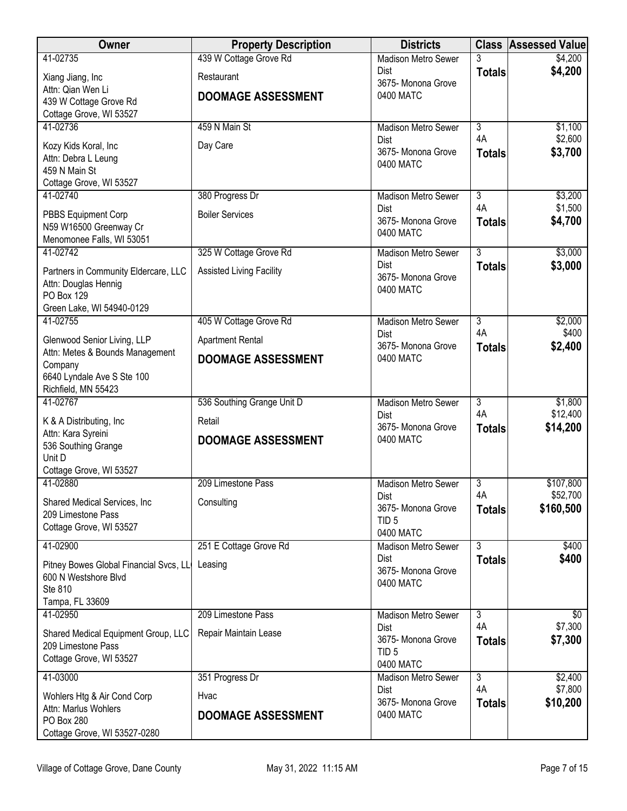| Owner                                                        | <b>Property Description</b>     | <b>Districts</b>                   |                      | <b>Class Assessed Value</b> |
|--------------------------------------------------------------|---------------------------------|------------------------------------|----------------------|-----------------------------|
| 41-02735                                                     | 439 W Cottage Grove Rd          | <b>Madison Metro Sewer</b>         | 3                    | \$4,200                     |
| Xiang Jiang, Inc                                             | Restaurant                      | <b>Dist</b><br>3675- Monona Grove  | <b>Totals</b>        | \$4,200                     |
| Attn: Qian Wen Li                                            | <b>DOOMAGE ASSESSMENT</b>       | 0400 MATC                          |                      |                             |
| 439 W Cottage Grove Rd<br>Cottage Grove, WI 53527            |                                 |                                    |                      |                             |
| 41-02736                                                     | 459 N Main St                   | <b>Madison Metro Sewer</b>         | $\overline{3}$       | \$1,100                     |
| Kozy Kids Koral, Inc                                         | Day Care                        | <b>Dist</b>                        | 4A                   | \$2,600                     |
| Attn: Debra L Leung                                          |                                 | 3675- Monona Grove                 | <b>Totals</b>        | \$3,700                     |
| 459 N Main St                                                |                                 | 0400 MATC                          |                      |                             |
| Cottage Grove, WI 53527                                      |                                 |                                    |                      |                             |
| 41-02740                                                     | 380 Progress Dr                 | <b>Madison Metro Sewer</b><br>Dist | $\overline{3}$<br>4A | \$3,200<br>\$1,500          |
| PBBS Equipment Corp                                          | <b>Boiler Services</b>          | 3675- Monona Grove                 | <b>Totals</b>        | \$4,700                     |
| N59 W16500 Greenway Cr                                       |                                 | 0400 MATC                          |                      |                             |
| Menomonee Falls, WI 53051<br>41-02742                        | 325 W Cottage Grove Rd          | Madison Metro Sewer                | $\overline{3}$       | \$3,000                     |
|                                                              |                                 | <b>Dist</b>                        | <b>Totals</b>        | \$3,000                     |
| Partners in Community Eldercare, LLC<br>Attn: Douglas Hennig | <b>Assisted Living Facility</b> | 3675- Monona Grove                 |                      |                             |
| <b>PO Box 129</b>                                            |                                 | 0400 MATC                          |                      |                             |
| Green Lake, WI 54940-0129                                    |                                 |                                    |                      |                             |
| 41-02755                                                     | 405 W Cottage Grove Rd          | <b>Madison Metro Sewer</b>         | $\overline{3}$       | \$2,000                     |
| Glenwood Senior Living, LLP                                  | <b>Apartment Rental</b>         | <b>Dist</b><br>3675- Monona Grove  | 4A<br><b>Totals</b>  | \$400<br>\$2,400            |
| Attn: Metes & Bounds Management                              | <b>DOOMAGE ASSESSMENT</b>       | 0400 MATC                          |                      |                             |
| Company<br>6640 Lyndale Ave S Ste 100                        |                                 |                                    |                      |                             |
| Richfield, MN 55423                                          |                                 |                                    |                      |                             |
| 41-02767                                                     | 536 Southing Grange Unit D      | <b>Madison Metro Sewer</b>         | $\overline{3}$       | \$1,800                     |
| K & A Distributing, Inc.                                     | Retail                          | <b>Dist</b>                        | 4A                   | \$12,400                    |
| Attn: Kara Syreini                                           | <b>DOOMAGE ASSESSMENT</b>       | 3675- Monona Grove<br>0400 MATC    | <b>Totals</b>        | \$14,200                    |
| 536 Southing Grange                                          |                                 |                                    |                      |                             |
| Unit D<br>Cottage Grove, WI 53527                            |                                 |                                    |                      |                             |
| 41-02880                                                     | 209 Limestone Pass              | Madison Metro Sewer                | 3                    | \$107,800                   |
| Shared Medical Services, Inc.                                | Consulting                      | Dist                               | 4A                   | \$52,700                    |
| 209 Limestone Pass                                           |                                 | 3675- Monona Grove                 | <b>Totals</b>        | \$160,500                   |
| Cottage Grove, WI 53527                                      |                                 | TID <sub>5</sub><br>0400 MATC      |                      |                             |
| 41-02900                                                     | 251 E Cottage Grove Rd          | Madison Metro Sewer                | 3                    | \$400                       |
| Pitney Bowes Global Financial Svcs, LL                       | Leasing                         | Dist                               | <b>Totals</b>        | \$400                       |
| 600 N Westshore Blvd                                         |                                 | 3675- Monona Grove                 |                      |                             |
| Ste 810                                                      |                                 | 0400 MATC                          |                      |                             |
| Tampa, FL 33609                                              |                                 |                                    |                      |                             |
| 41-02950                                                     | 209 Limestone Pass              | Madison Metro Sewer<br><b>Dist</b> | 3<br>4A              | \$0<br>\$7,300              |
| Shared Medical Equipment Group, LLC                          | Repair Maintain Lease           | 3675- Monona Grove                 | <b>Totals</b>        | \$7,300                     |
| 209 Limestone Pass<br>Cottage Grove, WI 53527                |                                 | TID <sub>5</sub>                   |                      |                             |
|                                                              |                                 | 0400 MATC                          |                      |                             |
| 41-03000                                                     | 351 Progress Dr                 | Madison Metro Sewer<br>Dist        | $\overline{3}$<br>4A | \$2,400<br>\$7,800          |
| Wohlers Htg & Air Cond Corp                                  | Hvac                            | 3675- Monona Grove                 | <b>Totals</b>        | \$10,200                    |
| Attn: Marlus Wohlers<br><b>PO Box 280</b>                    | <b>DOOMAGE ASSESSMENT</b>       | 0400 MATC                          |                      |                             |
| Cottage Grove, WI 53527-0280                                 |                                 |                                    |                      |                             |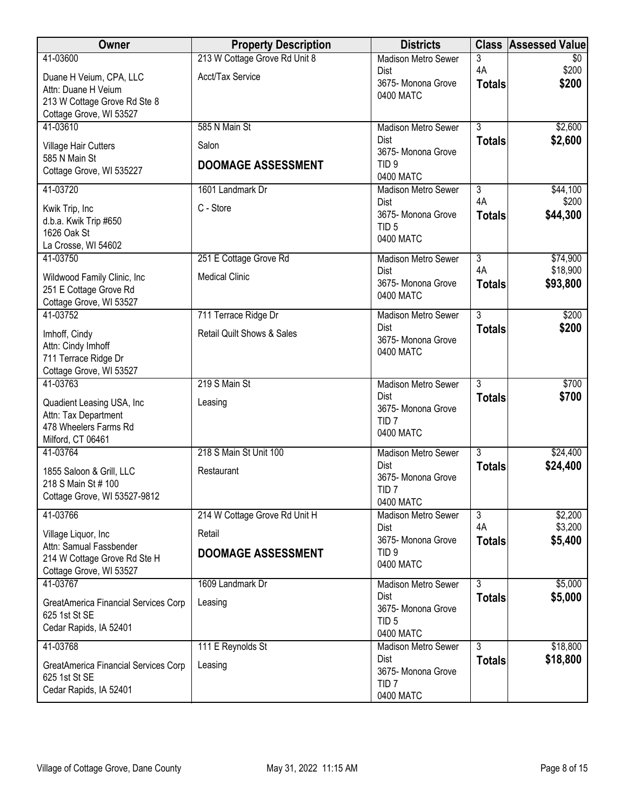| Owner                                                   | <b>Property Description</b>           | <b>Districts</b>                       |                                 | <b>Class Assessed Value</b> |
|---------------------------------------------------------|---------------------------------------|----------------------------------------|---------------------------------|-----------------------------|
| 41-03600                                                | 213 W Cottage Grove Rd Unit 8         | <b>Madison Metro Sewer</b>             | 3                               | $\overline{50}$             |
| Duane H Veium, CPA, LLC                                 | Acct/Tax Service                      | <b>Dist</b><br>3675- Monona Grove      | 4A                              | \$200<br>\$200              |
| Attn: Duane H Veium                                     |                                       | 0400 MATC                              | <b>Totals</b>                   |                             |
| 213 W Cottage Grove Rd Ste 8<br>Cottage Grove, WI 53527 |                                       |                                        |                                 |                             |
| 41-03610                                                | 585 N Main St                         | <b>Madison Metro Sewer</b>             | $\overline{3}$                  | \$2,600                     |
| Village Hair Cutters                                    | Salon                                 | <b>Dist</b>                            | <b>Totals</b>                   | \$2,600                     |
| 585 N Main St                                           |                                       | 3675- Monona Grove                     |                                 |                             |
| Cottage Grove, WI 535227                                | <b>DOOMAGE ASSESSMENT</b>             | TID <sub>9</sub><br>0400 MATC          |                                 |                             |
| 41-03720                                                | 1601 Landmark Dr                      | <b>Madison Metro Sewer</b>             | $\overline{3}$                  | \$44,100                    |
| Kwik Trip, Inc                                          | C - Store                             | <b>Dist</b>                            | 4A                              | \$200                       |
| d.b.a. Kwik Trip #650                                   |                                       | 3675- Monona Grove<br>TID <sub>5</sub> | <b>Totals</b>                   | \$44,300                    |
| 1626 Oak St                                             |                                       | 0400 MATC                              |                                 |                             |
| La Crosse, WI 54602<br>41-03750                         | 251 E Cottage Grove Rd                | <b>Madison Metro Sewer</b>             | $\overline{3}$                  | \$74,900                    |
|                                                         |                                       | <b>Dist</b>                            | 4A                              | \$18,900                    |
| Wildwood Family Clinic, Inc<br>251 E Cottage Grove Rd   | <b>Medical Clinic</b>                 | 3675- Monona Grove                     | <b>Totals</b>                   | \$93,800                    |
| Cottage Grove, WI 53527                                 |                                       | 0400 MATC                              |                                 |                             |
| 41-03752                                                | 711 Terrace Ridge Dr                  | <b>Madison Metro Sewer</b>             | $\overline{3}$                  | \$200                       |
| Imhoff, Cindy                                           | <b>Retail Quilt Shows &amp; Sales</b> | Dist<br>3675- Monona Grove             | <b>Totals</b>                   | \$200                       |
| Attn: Cindy Imhoff                                      |                                       | 0400 MATC                              |                                 |                             |
| 711 Terrace Ridge Dr<br>Cottage Grove, WI 53527         |                                       |                                        |                                 |                             |
| 41-03763                                                | 219 S Main St                         | <b>Madison Metro Sewer</b>             | $\overline{3}$                  | \$700                       |
| Quadient Leasing USA, Inc                               | Leasing                               | <b>Dist</b>                            | <b>Totals</b>                   | \$700                       |
| Attn: Tax Department                                    |                                       | 3675- Monona Grove<br>TID <sub>7</sub> |                                 |                             |
| 478 Wheelers Farms Rd                                   |                                       | 0400 MATC                              |                                 |                             |
| Milford, CT 06461<br>41-03764                           | 218 S Main St Unit 100                | Madison Metro Sewer                    | 3                               | \$24,400                    |
|                                                         |                                       | <b>Dist</b>                            | <b>Totals</b>                   | \$24,400                    |
| 1855 Saloon & Grill, LLC<br>218 S Main St # 100         | Restaurant                            | 3675- Monona Grove                     |                                 |                             |
| Cottage Grove, WI 53527-9812                            |                                       | TID <sub>7</sub>                       |                                 |                             |
| 41-03766                                                | 214 W Cottage Grove Rd Unit H         | 0400 MATC<br>Madison Metro Sewer       | $\overline{3}$                  | \$2,200                     |
|                                                         | Retail                                | <b>Dist</b>                            | 4A                              | \$3,200                     |
| Village Liquor, Inc<br>Attn: Samual Fassbender          |                                       | 3675- Monona Grove                     | <b>Totals</b>                   | \$5,400                     |
| 214 W Cottage Grove Rd Ste H                            | <b>DOOMAGE ASSESSMENT</b>             | TID <sub>9</sub><br>0400 MATC          |                                 |                             |
| Cottage Grove, WI 53527                                 |                                       |                                        |                                 |                             |
| 41-03767                                                | 1609 Landmark Dr                      | Madison Metro Sewer<br><b>Dist</b>     | $\overline{3}$<br><b>Totals</b> | \$5,000<br>\$5,000          |
| GreatAmerica Financial Services Corp<br>625 1st St SE   | Leasing                               | 3675- Monona Grove                     |                                 |                             |
| Cedar Rapids, IA 52401                                  |                                       | TID <sub>5</sub>                       |                                 |                             |
|                                                         |                                       | 0400 MATC                              |                                 |                             |
| 41-03768                                                | 111 E Reynolds St                     | Madison Metro Sewer<br><b>Dist</b>     | $\overline{3}$<br><b>Totals</b> | \$18,800<br>\$18,800        |
| GreatAmerica Financial Services Corp<br>625 1st St SE   | Leasing                               | 3675- Monona Grove                     |                                 |                             |
| Cedar Rapids, IA 52401                                  |                                       | TID <sub>7</sub>                       |                                 |                             |
|                                                         |                                       | 0400 MATC                              |                                 |                             |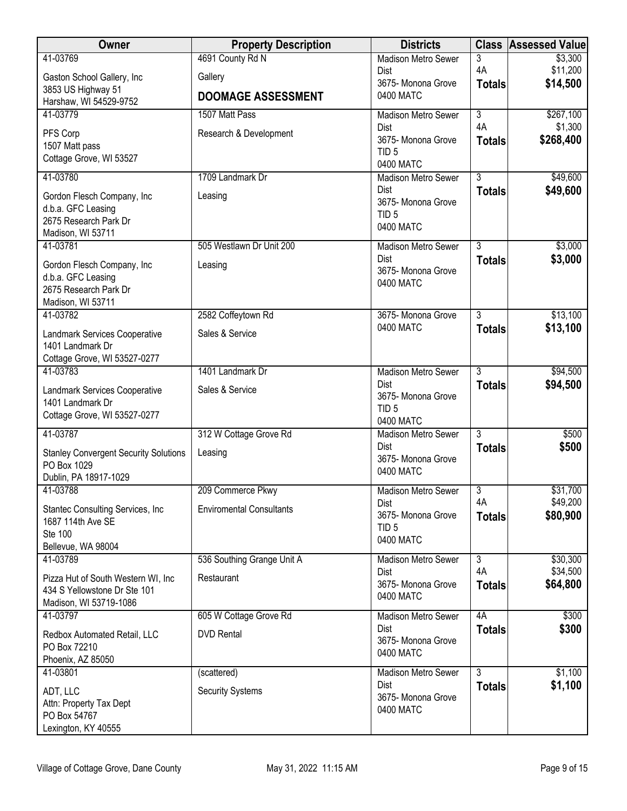| Owner                                            | <b>Property Description</b>     | <b>Districts</b>                   | <b>Class</b>        | <b>Assessed Value</b> |
|--------------------------------------------------|---------------------------------|------------------------------------|---------------------|-----------------------|
| 41-03769                                         | 4691 County Rd N                | <b>Madison Metro Sewer</b>         | 3                   | \$3,300               |
| Gaston School Gallery, Inc                       | Gallery                         | <b>Dist</b><br>3675- Monona Grove  | 4A<br><b>Totals</b> | \$11,200<br>\$14,500  |
| 3853 US Highway 51                               | <b>DOOMAGE ASSESSMENT</b>       | 0400 MATC                          |                     |                       |
| Harshaw, WI 54529-9752<br>41-03779               | 1507 Matt Pass                  | <b>Madison Metro Sewer</b>         | $\overline{3}$      | \$267,100             |
|                                                  |                                 | <b>Dist</b>                        | 4A                  | \$1,300               |
| PFS Corp<br>1507 Matt pass                       | Research & Development          | 3675- Monona Grove                 | <b>Totals</b>       | \$268,400             |
| Cottage Grove, WI 53527                          |                                 | TID <sub>5</sub>                   |                     |                       |
| 41-03780                                         | 1709 Landmark Dr                | 0400 MATC                          | $\overline{3}$      |                       |
|                                                  |                                 | Madison Metro Sewer<br>Dist        | <b>Totals</b>       | \$49,600<br>\$49,600  |
| Gordon Flesch Company, Inc                       | Leasing                         | 3675- Monona Grove                 |                     |                       |
| d.b.a. GFC Leasing<br>2675 Research Park Dr      |                                 | TID <sub>5</sub>                   |                     |                       |
| Madison, WI 53711                                |                                 | 0400 MATC                          |                     |                       |
| 41-03781                                         | 505 Westlawn Dr Unit 200        | <b>Madison Metro Sewer</b>         | $\overline{3}$      | \$3,000               |
| Gordon Flesch Company, Inc                       | Leasing                         | <b>Dist</b>                        | <b>Totals</b>       | \$3,000               |
| d.b.a. GFC Leasing                               |                                 | 3675- Monona Grove<br>0400 MATC    |                     |                       |
| 2675 Research Park Dr                            |                                 |                                    |                     |                       |
| Madison, WI 53711<br>41-03782                    |                                 |                                    | 3                   | \$13,100              |
|                                                  | 2582 Coffeytown Rd              | 3675- Monona Grove<br>0400 MATC    | <b>Totals</b>       | \$13,100              |
| Landmark Services Cooperative                    | Sales & Service                 |                                    |                     |                       |
| 1401 Landmark Dr<br>Cottage Grove, WI 53527-0277 |                                 |                                    |                     |                       |
| 41-03783                                         | 1401 Landmark Dr                | <b>Madison Metro Sewer</b>         | $\overline{3}$      | \$94,500              |
| Landmark Services Cooperative                    | Sales & Service                 | <b>Dist</b>                        | <b>Totals</b>       | \$94,500              |
| 1401 Landmark Dr                                 |                                 | 3675- Monona Grove                 |                     |                       |
| Cottage Grove, WI 53527-0277                     |                                 | TID <sub>5</sub><br>0400 MATC      |                     |                       |
| 41-03787                                         | 312 W Cottage Grove Rd          | <b>Madison Metro Sewer</b>         | $\overline{3}$      | \$500                 |
| <b>Stanley Convergent Security Solutions</b>     | Leasing                         | Dist                               | <b>Totals</b>       | \$500                 |
| PO Box 1029                                      |                                 | 3675- Monona Grove                 |                     |                       |
| Dublin, PA 18917-1029                            |                                 | 0400 MATC                          |                     |                       |
| 41-03788                                         | 209 Commerce Pkwy               | Madison Metro Sewer                | $\overline{3}$      | \$31,700              |
| Stantec Consulting Services, Inc                 | <b>Enviromental Consultants</b> | Dist<br>3675- Monona Grove         | 4A<br><b>Totals</b> | \$49,200<br>\$80,900  |
| 1687 114th Ave SE                                |                                 | TID <sub>5</sub>                   |                     |                       |
| Ste 100<br>Bellevue, WA 98004                    |                                 | 0400 MATC                          |                     |                       |
| 41-03789                                         | 536 Southing Grange Unit A      | Madison Metro Sewer                | $\overline{3}$      | \$30,300              |
| Pizza Hut of South Western WI, Inc.              | Restaurant                      | <b>Dist</b>                        | 4A                  | \$34,500              |
| 434 S Yellowstone Dr Ste 101                     |                                 | 3675- Monona Grove                 | <b>Totals</b>       | \$64,800              |
| Madison, WI 53719-1086                           |                                 | 0400 MATC                          |                     |                       |
| 41-03797                                         | 605 W Cottage Grove Rd          | Madison Metro Sewer                | 4A                  | \$300                 |
| Redbox Automated Retail, LLC                     | <b>DVD</b> Rental               | <b>Dist</b><br>3675- Monona Grove  | <b>Totals</b>       | \$300                 |
| PO Box 72210                                     |                                 | 0400 MATC                          |                     |                       |
| Phoenix, AZ 85050                                |                                 |                                    | $\overline{3}$      |                       |
| 41-03801                                         | (scattered)                     | Madison Metro Sewer<br><b>Dist</b> | <b>Totals</b>       | \$1,100<br>\$1,100    |
| ADT, LLC                                         | <b>Security Systems</b>         | 3675- Monona Grove                 |                     |                       |
| Attn: Property Tax Dept<br>PO Box 54767          |                                 | 0400 MATC                          |                     |                       |
| Lexington, KY 40555                              |                                 |                                    |                     |                       |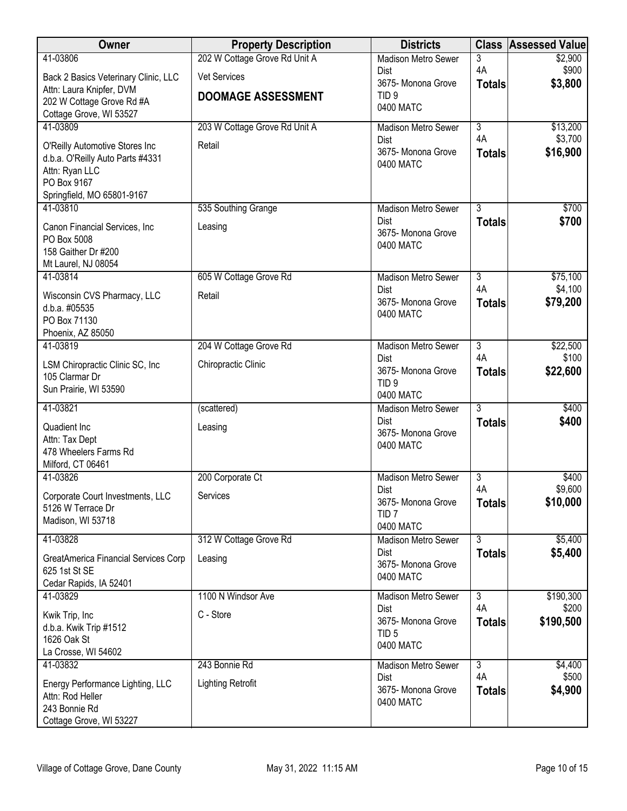| Owner                                                | <b>Property Description</b>   | <b>Districts</b>                   |                      | <b>Class Assessed Value</b> |
|------------------------------------------------------|-------------------------------|------------------------------------|----------------------|-----------------------------|
| 41-03806                                             | 202 W Cottage Grove Rd Unit A | <b>Madison Metro Sewer</b>         | 3                    | \$2,900                     |
| Back 2 Basics Veterinary Clinic, LLC                 | <b>Vet Services</b>           | <b>Dist</b><br>3675- Monona Grove  | 4A<br><b>Totals</b>  | \$900<br>\$3,800            |
| Attn: Laura Knipfer, DVM                             | <b>DOOMAGE ASSESSMENT</b>     | TID <sub>9</sub>                   |                      |                             |
| 202 W Cottage Grove Rd #A<br>Cottage Grove, WI 53527 |                               | 0400 MATC                          |                      |                             |
| 41-03809                                             | 203 W Cottage Grove Rd Unit A | Madison Metro Sewer                | $\overline{3}$       | \$13,200                    |
| O'Reilly Automotive Stores Inc                       | Retail                        | <b>Dist</b>                        | 4A                   | \$3,700                     |
| d.b.a. O'Reilly Auto Parts #4331                     |                               | 3675- Monona Grove<br>0400 MATC    | <b>Totals</b>        | \$16,900                    |
| Attn: Ryan LLC                                       |                               |                                    |                      |                             |
| PO Box 9167<br>Springfield, MO 65801-9167            |                               |                                    |                      |                             |
| 41-03810                                             | 535 Southing Grange           | Madison Metro Sewer                | $\overline{3}$       | \$700                       |
| Canon Financial Services, Inc                        | Leasing                       | Dist                               | <b>Totals</b>        | \$700                       |
| PO Box 5008                                          |                               | 3675- Monona Grove                 |                      |                             |
| 158 Gaither Dr #200                                  |                               | 0400 MATC                          |                      |                             |
| Mt Laurel, NJ 08054                                  |                               |                                    |                      |                             |
| 41-03814                                             | 605 W Cottage Grove Rd        | Madison Metro Sewer<br><b>Dist</b> | $\overline{3}$<br>4A | \$75,100<br>\$4,100         |
| Wisconsin CVS Pharmacy, LLC<br>d.b.a. #05535         | Retail                        | 3675- Monona Grove                 | <b>Totals</b>        | \$79,200                    |
| PO Box 71130                                         |                               | 0400 MATC                          |                      |                             |
| Phoenix, AZ 85050                                    |                               |                                    |                      |                             |
| 41-03819                                             | 204 W Cottage Grove Rd        | <b>Madison Metro Sewer</b>         | $\overline{3}$       | \$22,500                    |
| LSM Chiropractic Clinic SC, Inc                      | Chiropractic Clinic           | Dist<br>3675- Monona Grove         | 4A<br><b>Totals</b>  | \$100<br>\$22,600           |
| 105 Clarmar Dr                                       |                               | TID <sub>9</sub>                   |                      |                             |
| Sun Prairie, WI 53590                                |                               | 0400 MATC                          |                      |                             |
| 41-03821                                             | (scattered)                   | <b>Madison Metro Sewer</b><br>Dist | $\overline{3}$       | \$400<br>\$400              |
| Quadient Inc                                         | Leasing                       | 3675- Monona Grove                 | <b>Totals</b>        |                             |
| Attn: Tax Dept<br>478 Wheelers Farms Rd              |                               | 0400 MATC                          |                      |                             |
| Milford, CT 06461                                    |                               |                                    |                      |                             |
| 41-03826                                             | 200 Corporate Ct              | Madison Metro Sewer                | $\overline{3}$       | \$400                       |
| Corporate Court Investments, LLC                     | Services                      | Dist<br>3675- Monona Grove         | 4A                   | \$9,600<br>\$10,000         |
| 5126 W Terrace Dr                                    |                               | TID <sub>7</sub>                   | <b>Totals</b>        |                             |
| Madison, WI 53718                                    |                               | 0400 MATC                          |                      |                             |
| 41-03828                                             | 312 W Cottage Grove Rd        | Madison Metro Sewer                | $\overline{3}$       | \$5,400                     |
| GreatAmerica Financial Services Corp                 | Leasing                       | <b>Dist</b><br>3675- Monona Grove  | <b>Totals</b>        | \$5,400                     |
| 625 1st St SE<br>Cedar Rapids, IA 52401              |                               | 0400 MATC                          |                      |                             |
| 41-03829                                             | 1100 N Windsor Ave            | <b>Madison Metro Sewer</b>         | $\overline{3}$       | \$190,300                   |
| Kwik Trip, Inc                                       | C - Store                     | <b>Dist</b>                        | 4A                   | \$200                       |
| d.b.a. Kwik Trip #1512                               |                               | 3675- Monona Grove                 | <b>Totals</b>        | \$190,500                   |
| 1626 Oak St                                          |                               | TID <sub>5</sub><br>0400 MATC      |                      |                             |
| La Crosse, WI 54602                                  |                               |                                    |                      |                             |
| 41-03832                                             | 243 Bonnie Rd                 | Madison Metro Sewer<br>Dist        | $\overline{3}$<br>4A | \$4,400<br>\$500            |
| Energy Performance Lighting, LLC<br>Attn: Rod Heller | <b>Lighting Retrofit</b>      | 3675- Monona Grove                 | <b>Totals</b>        | \$4,900                     |
| 243 Bonnie Rd                                        |                               | 0400 MATC                          |                      |                             |
| Cottage Grove, WI 53227                              |                               |                                    |                      |                             |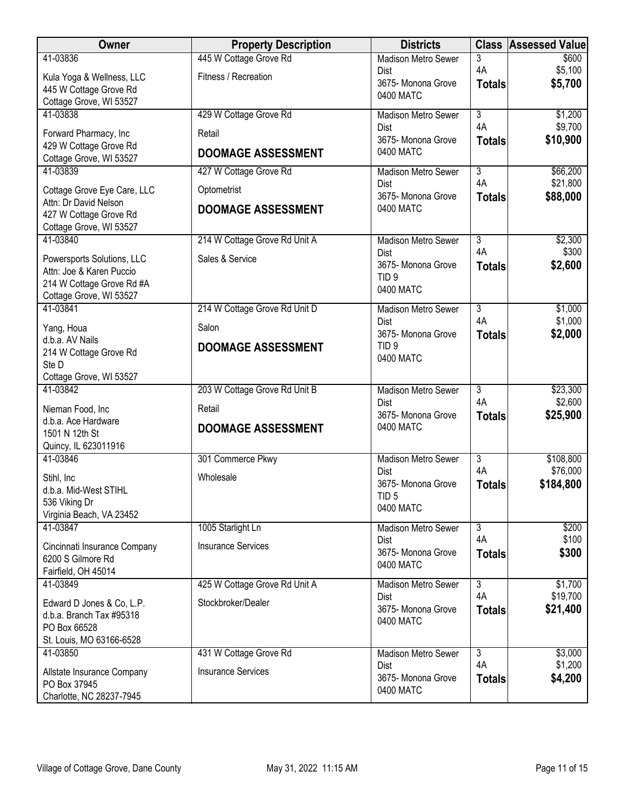| Owner                                                  | <b>Property Description</b>   | <b>Districts</b>                       |                      | <b>Class Assessed Value</b> |
|--------------------------------------------------------|-------------------------------|----------------------------------------|----------------------|-----------------------------|
| 41-03836                                               | 445 W Cottage Grove Rd        | <b>Madison Metro Sewer</b>             | 3                    | \$600                       |
| Kula Yoga & Wellness, LLC                              | Fitness / Recreation          | Dist<br>3675- Monona Grove             | 4A<br><b>Totals</b>  | \$5,100<br>\$5,700          |
| 445 W Cottage Grove Rd                                 |                               | 0400 MATC                              |                      |                             |
| Cottage Grove, WI 53527<br>41-03838                    | 429 W Cottage Grove Rd        | <b>Madison Metro Sewer</b>             | $\overline{3}$       | \$1,200                     |
|                                                        |                               | Dist                                   | 4A                   | \$9,700                     |
| Forward Pharmacy, Inc<br>429 W Cottage Grove Rd        | Retail                        | 3675- Monona Grove                     | <b>Totals</b>        | \$10,900                    |
| Cottage Grove, WI 53527                                | <b>DOOMAGE ASSESSMENT</b>     | 0400 MATC                              |                      |                             |
| 41-03839                                               | 427 W Cottage Grove Rd        | <b>Madison Metro Sewer</b>             | $\overline{3}$       | \$66,200                    |
| Cottage Grove Eye Care, LLC                            | Optometrist                   | Dist                                   | 4A                   | \$21,800                    |
| Attn: Dr David Nelson                                  | <b>DOOMAGE ASSESSMENT</b>     | 3675- Monona Grove<br>0400 MATC        | <b>Totals</b>        | \$88,000                    |
| 427 W Cottage Grove Rd                                 |                               |                                        |                      |                             |
| Cottage Grove, WI 53527<br>41-03840                    | 214 W Cottage Grove Rd Unit A | <b>Madison Metro Sewer</b>             | $\overline{3}$       | \$2,300                     |
|                                                        | Sales & Service               | Dist                                   | 4A                   | \$300                       |
| Powersports Solutions, LLC<br>Attn: Joe & Karen Puccio |                               | 3675- Monona Grove                     | <b>Totals</b>        | \$2,600                     |
| 214 W Cottage Grove Rd #A                              |                               | TID <sub>9</sub><br>0400 MATC          |                      |                             |
| Cottage Grove, WI 53527                                |                               |                                        |                      |                             |
| 41-03841                                               | 214 W Cottage Grove Rd Unit D | <b>Madison Metro Sewer</b><br>Dist     | $\overline{3}$<br>4A | \$1,000<br>\$1,000          |
| Yang, Houa                                             | Salon                         | 3675- Monona Grove                     | <b>Totals</b>        | \$2,000                     |
| d.b.a. AV Nails<br>214 W Cottage Grove Rd              | <b>DOOMAGE ASSESSMENT</b>     | TID <sub>9</sub>                       |                      |                             |
| Ste D                                                  |                               | 0400 MATC                              |                      |                             |
| Cottage Grove, WI 53527                                |                               |                                        |                      |                             |
| 41-03842                                               | 203 W Cottage Grove Rd Unit B | <b>Madison Metro Sewer</b>             | $\overline{3}$<br>4A | \$23,300                    |
| Nieman Food, Inc.                                      | Retail                        | Dist<br>3675- Monona Grove             | <b>Totals</b>        | \$2,600<br>\$25,900         |
| d.b.a. Ace Hardware<br>1501 N 12th St                  | <b>DOOMAGE ASSESSMENT</b>     | 0400 MATC                              |                      |                             |
| Quincy, IL 623011916                                   |                               |                                        |                      |                             |
| 41-03846                                               | 301 Commerce Pkwy             | <b>Madison Metro Sewer</b>             | $\overline{3}$       | \$108,800                   |
| Stihl, Inc                                             | Wholesale                     | Dist                                   | 4A                   | \$76,000                    |
| d.b.a. Mid-West STIHL                                  |                               | 3675- Monona Grove<br>TID <sub>5</sub> | <b>Totals</b>        | \$184,800                   |
| 536 Viking Dr                                          |                               | 0400 MATC                              |                      |                             |
| Virginia Beach, VA 23452<br>41-03847                   | 1005 Starlight Ln             | Madison Metro Sewer                    | $\overline{3}$       | \$200                       |
|                                                        |                               | Dist                                   | 4A                   | \$100                       |
| Cincinnati Insurance Company<br>6200 S Gilmore Rd      | <b>Insurance Services</b>     | 3675- Monona Grove                     | <b>Totals</b>        | \$300                       |
| Fairfield, OH 45014                                    |                               | 0400 MATC                              |                      |                             |
| 41-03849                                               | 425 W Cottage Grove Rd Unit A | <b>Madison Metro Sewer</b>             | $\overline{3}$       | \$1,700                     |
| Edward D Jones & Co, L.P.                              | Stockbroker/Dealer            | Dist                                   | 4A                   | \$19,700                    |
| d.b.a. Branch Tax #95318                               |                               | 3675- Monona Grove<br>0400 MATC        | <b>Totals</b>        | \$21,400                    |
| PO Box 66528                                           |                               |                                        |                      |                             |
| St. Louis, MO 63166-6528<br>41-03850                   | 431 W Cottage Grove Rd        | Madison Metro Sewer                    | $\overline{3}$       | \$3,000                     |
| Allstate Insurance Company                             | <b>Insurance Services</b>     | Dist                                   | 4A                   | \$1,200                     |
| PO Box 37945                                           |                               | 3675- Monona Grove                     | <b>Totals</b>        | \$4,200                     |
| Charlotte, NC 28237-7945                               |                               | 0400 MATC                              |                      |                             |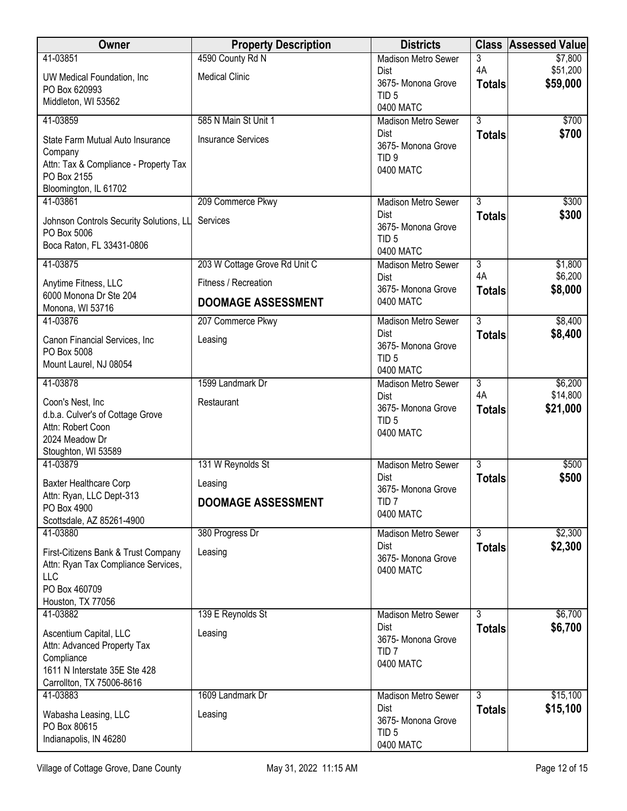| <b>Madison Metro Sewer</b><br>3<br>4A<br>\$51,200<br><b>Dist</b><br><b>Medical Clinic</b><br>UW Medical Foundation, Inc.<br>\$59,000<br>3675- Monona Grove<br><b>Totals</b><br>PO Box 620993<br>TID <sub>5</sub><br>Middleton, WI 53562<br>0400 MATC<br>$\overline{3}$<br>41-03859<br>585 N Main St Unit 1<br>\$700<br>Madison Metro Sewer<br>\$700<br>Dist<br><b>Totals</b><br><b>Insurance Services</b><br>State Farm Mutual Auto Insurance<br>3675- Monona Grove<br>Company<br>TID <sub>9</sub><br>Attn: Tax & Compliance - Property Tax<br>0400 MATC<br>PO Box 2155<br>Bloomington, IL 61702<br>$\overline{3}$<br>41-03861<br>209 Commerce Pkwy<br><b>Madison Metro Sewer</b><br>\$300<br>Dist<br>\$300<br><b>Totals</b><br>Services<br>Johnson Controls Security Solutions, LL<br>3675- Monona Grove<br>PO Box 5006<br>TID <sub>5</sub><br>Boca Raton, FL 33431-0806<br>0400 MATC<br>41-03875<br>203 W Cottage Grove Rd Unit C<br>$\overline{3}$<br>\$1,800<br><b>Madison Metro Sewer</b><br>4A<br>\$6,200<br>Dist<br>Fitness / Recreation<br>Anytime Fitness, LLC<br>\$8,000<br>3675- Monona Grove<br><b>Totals</b><br>6000 Monona Dr Ste 204<br>0400 MATC<br><b>DOOMAGE ASSESSMENT</b><br>Monona, WI 53716<br>$\overline{3}$<br>\$8,400<br>41-03876<br>207 Commerce Pkwy<br><b>Madison Metro Sewer</b><br>\$8,400<br>Dist<br><b>Totals</b><br>Canon Financial Services, Inc<br>Leasing<br>3675- Monona Grove<br>PO Box 5008<br>TID <sub>5</sub><br>Mount Laurel, NJ 08054<br>0400 MATC<br>\$6,200<br>41-03878<br>1599 Landmark Dr<br>$\overline{3}$<br><b>Madison Metro Sewer</b><br>4A<br>\$14,800<br>Dist<br>Restaurant<br>Coon's Nest, Inc.<br>3675- Monona Grove<br>\$21,000<br><b>Totals</b><br>d.b.a. Culver's of Cottage Grove<br>TID <sub>5</sub><br>Attn: Robert Coon<br>0400 MATC<br>2024 Meadow Dr<br>Stoughton, WI 53589<br>$\overline{3}$<br>41-03879<br>131 W Reynolds St<br>\$500<br><b>Madison Metro Sewer</b><br>Dist<br>\$500<br><b>Totals</b><br>Baxter Healthcare Corp<br>Leasing<br>3675- Monona Grove<br>Attn: Ryan, LLC Dept-313<br>TID <sub>7</sub><br><b>DOOMAGE ASSESSMENT</b><br>PO Box 4900<br>0400 MATC<br>Scottsdale, AZ 85261-4900<br>\$2,300<br>380 Progress Dr<br>$\overline{3}$<br>41-03880<br>Madison Metro Sewer | Owner    | <b>Property Description</b> | <b>Districts</b> |               | <b>Class Assessed Value</b> |
|-------------------------------------------------------------------------------------------------------------------------------------------------------------------------------------------------------------------------------------------------------------------------------------------------------------------------------------------------------------------------------------------------------------------------------------------------------------------------------------------------------------------------------------------------------------------------------------------------------------------------------------------------------------------------------------------------------------------------------------------------------------------------------------------------------------------------------------------------------------------------------------------------------------------------------------------------------------------------------------------------------------------------------------------------------------------------------------------------------------------------------------------------------------------------------------------------------------------------------------------------------------------------------------------------------------------------------------------------------------------------------------------------------------------------------------------------------------------------------------------------------------------------------------------------------------------------------------------------------------------------------------------------------------------------------------------------------------------------------------------------------------------------------------------------------------------------------------------------------------------------------------------------------------------------------------------------------------------------------------------------------------------------------------------------------------------------------------------------------------------------------------------------------------------------------------------------------------------------------------------------------------|----------|-----------------------------|------------------|---------------|-----------------------------|
|                                                                                                                                                                                                                                                                                                                                                                                                                                                                                                                                                                                                                                                                                                                                                                                                                                                                                                                                                                                                                                                                                                                                                                                                                                                                                                                                                                                                                                                                                                                                                                                                                                                                                                                                                                                                                                                                                                                                                                                                                                                                                                                                                                                                                                                             | 41-03851 | 4590 County Rd N            |                  |               | \$7,800                     |
|                                                                                                                                                                                                                                                                                                                                                                                                                                                                                                                                                                                                                                                                                                                                                                                                                                                                                                                                                                                                                                                                                                                                                                                                                                                                                                                                                                                                                                                                                                                                                                                                                                                                                                                                                                                                                                                                                                                                                                                                                                                                                                                                                                                                                                                             |          |                             |                  |               |                             |
|                                                                                                                                                                                                                                                                                                                                                                                                                                                                                                                                                                                                                                                                                                                                                                                                                                                                                                                                                                                                                                                                                                                                                                                                                                                                                                                                                                                                                                                                                                                                                                                                                                                                                                                                                                                                                                                                                                                                                                                                                                                                                                                                                                                                                                                             |          |                             |                  |               |                             |
|                                                                                                                                                                                                                                                                                                                                                                                                                                                                                                                                                                                                                                                                                                                                                                                                                                                                                                                                                                                                                                                                                                                                                                                                                                                                                                                                                                                                                                                                                                                                                                                                                                                                                                                                                                                                                                                                                                                                                                                                                                                                                                                                                                                                                                                             |          |                             |                  |               |                             |
|                                                                                                                                                                                                                                                                                                                                                                                                                                                                                                                                                                                                                                                                                                                                                                                                                                                                                                                                                                                                                                                                                                                                                                                                                                                                                                                                                                                                                                                                                                                                                                                                                                                                                                                                                                                                                                                                                                                                                                                                                                                                                                                                                                                                                                                             |          |                             |                  |               |                             |
|                                                                                                                                                                                                                                                                                                                                                                                                                                                                                                                                                                                                                                                                                                                                                                                                                                                                                                                                                                                                                                                                                                                                                                                                                                                                                                                                                                                                                                                                                                                                                                                                                                                                                                                                                                                                                                                                                                                                                                                                                                                                                                                                                                                                                                                             |          |                             |                  |               |                             |
|                                                                                                                                                                                                                                                                                                                                                                                                                                                                                                                                                                                                                                                                                                                                                                                                                                                                                                                                                                                                                                                                                                                                                                                                                                                                                                                                                                                                                                                                                                                                                                                                                                                                                                                                                                                                                                                                                                                                                                                                                                                                                                                                                                                                                                                             |          |                             |                  |               |                             |
|                                                                                                                                                                                                                                                                                                                                                                                                                                                                                                                                                                                                                                                                                                                                                                                                                                                                                                                                                                                                                                                                                                                                                                                                                                                                                                                                                                                                                                                                                                                                                                                                                                                                                                                                                                                                                                                                                                                                                                                                                                                                                                                                                                                                                                                             |          |                             |                  |               |                             |
|                                                                                                                                                                                                                                                                                                                                                                                                                                                                                                                                                                                                                                                                                                                                                                                                                                                                                                                                                                                                                                                                                                                                                                                                                                                                                                                                                                                                                                                                                                                                                                                                                                                                                                                                                                                                                                                                                                                                                                                                                                                                                                                                                                                                                                                             |          |                             |                  |               |                             |
|                                                                                                                                                                                                                                                                                                                                                                                                                                                                                                                                                                                                                                                                                                                                                                                                                                                                                                                                                                                                                                                                                                                                                                                                                                                                                                                                                                                                                                                                                                                                                                                                                                                                                                                                                                                                                                                                                                                                                                                                                                                                                                                                                                                                                                                             |          |                             |                  |               |                             |
|                                                                                                                                                                                                                                                                                                                                                                                                                                                                                                                                                                                                                                                                                                                                                                                                                                                                                                                                                                                                                                                                                                                                                                                                                                                                                                                                                                                                                                                                                                                                                                                                                                                                                                                                                                                                                                                                                                                                                                                                                                                                                                                                                                                                                                                             |          |                             |                  |               |                             |
|                                                                                                                                                                                                                                                                                                                                                                                                                                                                                                                                                                                                                                                                                                                                                                                                                                                                                                                                                                                                                                                                                                                                                                                                                                                                                                                                                                                                                                                                                                                                                                                                                                                                                                                                                                                                                                                                                                                                                                                                                                                                                                                                                                                                                                                             |          |                             |                  |               |                             |
|                                                                                                                                                                                                                                                                                                                                                                                                                                                                                                                                                                                                                                                                                                                                                                                                                                                                                                                                                                                                                                                                                                                                                                                                                                                                                                                                                                                                                                                                                                                                                                                                                                                                                                                                                                                                                                                                                                                                                                                                                                                                                                                                                                                                                                                             |          |                             |                  |               |                             |
|                                                                                                                                                                                                                                                                                                                                                                                                                                                                                                                                                                                                                                                                                                                                                                                                                                                                                                                                                                                                                                                                                                                                                                                                                                                                                                                                                                                                                                                                                                                                                                                                                                                                                                                                                                                                                                                                                                                                                                                                                                                                                                                                                                                                                                                             |          |                             |                  |               |                             |
|                                                                                                                                                                                                                                                                                                                                                                                                                                                                                                                                                                                                                                                                                                                                                                                                                                                                                                                                                                                                                                                                                                                                                                                                                                                                                                                                                                                                                                                                                                                                                                                                                                                                                                                                                                                                                                                                                                                                                                                                                                                                                                                                                                                                                                                             |          |                             |                  |               |                             |
|                                                                                                                                                                                                                                                                                                                                                                                                                                                                                                                                                                                                                                                                                                                                                                                                                                                                                                                                                                                                                                                                                                                                                                                                                                                                                                                                                                                                                                                                                                                                                                                                                                                                                                                                                                                                                                                                                                                                                                                                                                                                                                                                                                                                                                                             |          |                             |                  |               |                             |
|                                                                                                                                                                                                                                                                                                                                                                                                                                                                                                                                                                                                                                                                                                                                                                                                                                                                                                                                                                                                                                                                                                                                                                                                                                                                                                                                                                                                                                                                                                                                                                                                                                                                                                                                                                                                                                                                                                                                                                                                                                                                                                                                                                                                                                                             |          |                             |                  |               |                             |
|                                                                                                                                                                                                                                                                                                                                                                                                                                                                                                                                                                                                                                                                                                                                                                                                                                                                                                                                                                                                                                                                                                                                                                                                                                                                                                                                                                                                                                                                                                                                                                                                                                                                                                                                                                                                                                                                                                                                                                                                                                                                                                                                                                                                                                                             |          |                             |                  |               |                             |
|                                                                                                                                                                                                                                                                                                                                                                                                                                                                                                                                                                                                                                                                                                                                                                                                                                                                                                                                                                                                                                                                                                                                                                                                                                                                                                                                                                                                                                                                                                                                                                                                                                                                                                                                                                                                                                                                                                                                                                                                                                                                                                                                                                                                                                                             |          |                             |                  |               |                             |
|                                                                                                                                                                                                                                                                                                                                                                                                                                                                                                                                                                                                                                                                                                                                                                                                                                                                                                                                                                                                                                                                                                                                                                                                                                                                                                                                                                                                                                                                                                                                                                                                                                                                                                                                                                                                                                                                                                                                                                                                                                                                                                                                                                                                                                                             |          |                             |                  |               |                             |
|                                                                                                                                                                                                                                                                                                                                                                                                                                                                                                                                                                                                                                                                                                                                                                                                                                                                                                                                                                                                                                                                                                                                                                                                                                                                                                                                                                                                                                                                                                                                                                                                                                                                                                                                                                                                                                                                                                                                                                                                                                                                                                                                                                                                                                                             |          |                             |                  |               |                             |
|                                                                                                                                                                                                                                                                                                                                                                                                                                                                                                                                                                                                                                                                                                                                                                                                                                                                                                                                                                                                                                                                                                                                                                                                                                                                                                                                                                                                                                                                                                                                                                                                                                                                                                                                                                                                                                                                                                                                                                                                                                                                                                                                                                                                                                                             |          |                             |                  |               |                             |
|                                                                                                                                                                                                                                                                                                                                                                                                                                                                                                                                                                                                                                                                                                                                                                                                                                                                                                                                                                                                                                                                                                                                                                                                                                                                                                                                                                                                                                                                                                                                                                                                                                                                                                                                                                                                                                                                                                                                                                                                                                                                                                                                                                                                                                                             |          |                             |                  |               |                             |
|                                                                                                                                                                                                                                                                                                                                                                                                                                                                                                                                                                                                                                                                                                                                                                                                                                                                                                                                                                                                                                                                                                                                                                                                                                                                                                                                                                                                                                                                                                                                                                                                                                                                                                                                                                                                                                                                                                                                                                                                                                                                                                                                                                                                                                                             |          |                             |                  |               |                             |
|                                                                                                                                                                                                                                                                                                                                                                                                                                                                                                                                                                                                                                                                                                                                                                                                                                                                                                                                                                                                                                                                                                                                                                                                                                                                                                                                                                                                                                                                                                                                                                                                                                                                                                                                                                                                                                                                                                                                                                                                                                                                                                                                                                                                                                                             |          |                             |                  |               |                             |
|                                                                                                                                                                                                                                                                                                                                                                                                                                                                                                                                                                                                                                                                                                                                                                                                                                                                                                                                                                                                                                                                                                                                                                                                                                                                                                                                                                                                                                                                                                                                                                                                                                                                                                                                                                                                                                                                                                                                                                                                                                                                                                                                                                                                                                                             |          |                             |                  |               |                             |
|                                                                                                                                                                                                                                                                                                                                                                                                                                                                                                                                                                                                                                                                                                                                                                                                                                                                                                                                                                                                                                                                                                                                                                                                                                                                                                                                                                                                                                                                                                                                                                                                                                                                                                                                                                                                                                                                                                                                                                                                                                                                                                                                                                                                                                                             |          |                             |                  |               |                             |
|                                                                                                                                                                                                                                                                                                                                                                                                                                                                                                                                                                                                                                                                                                                                                                                                                                                                                                                                                                                                                                                                                                                                                                                                                                                                                                                                                                                                                                                                                                                                                                                                                                                                                                                                                                                                                                                                                                                                                                                                                                                                                                                                                                                                                                                             |          |                             |                  |               |                             |
|                                                                                                                                                                                                                                                                                                                                                                                                                                                                                                                                                                                                                                                                                                                                                                                                                                                                                                                                                                                                                                                                                                                                                                                                                                                                                                                                                                                                                                                                                                                                                                                                                                                                                                                                                                                                                                                                                                                                                                                                                                                                                                                                                                                                                                                             |          |                             |                  |               |                             |
|                                                                                                                                                                                                                                                                                                                                                                                                                                                                                                                                                                                                                                                                                                                                                                                                                                                                                                                                                                                                                                                                                                                                                                                                                                                                                                                                                                                                                                                                                                                                                                                                                                                                                                                                                                                                                                                                                                                                                                                                                                                                                                                                                                                                                                                             |          |                             |                  |               |                             |
|                                                                                                                                                                                                                                                                                                                                                                                                                                                                                                                                                                                                                                                                                                                                                                                                                                                                                                                                                                                                                                                                                                                                                                                                                                                                                                                                                                                                                                                                                                                                                                                                                                                                                                                                                                                                                                                                                                                                                                                                                                                                                                                                                                                                                                                             |          |                             |                  |               |                             |
|                                                                                                                                                                                                                                                                                                                                                                                                                                                                                                                                                                                                                                                                                                                                                                                                                                                                                                                                                                                                                                                                                                                                                                                                                                                                                                                                                                                                                                                                                                                                                                                                                                                                                                                                                                                                                                                                                                                                                                                                                                                                                                                                                                                                                                                             |          |                             | Dist             | <b>Totals</b> | \$2,300                     |
| First-Citizens Bank & Trust Company<br>Leasing<br>3675- Monona Grove                                                                                                                                                                                                                                                                                                                                                                                                                                                                                                                                                                                                                                                                                                                                                                                                                                                                                                                                                                                                                                                                                                                                                                                                                                                                                                                                                                                                                                                                                                                                                                                                                                                                                                                                                                                                                                                                                                                                                                                                                                                                                                                                                                                        |          |                             |                  |               |                             |
| Attn: Ryan Tax Compliance Services,<br>0400 MATC<br>LLC                                                                                                                                                                                                                                                                                                                                                                                                                                                                                                                                                                                                                                                                                                                                                                                                                                                                                                                                                                                                                                                                                                                                                                                                                                                                                                                                                                                                                                                                                                                                                                                                                                                                                                                                                                                                                                                                                                                                                                                                                                                                                                                                                                                                     |          |                             |                  |               |                             |
| PO Box 460709                                                                                                                                                                                                                                                                                                                                                                                                                                                                                                                                                                                                                                                                                                                                                                                                                                                                                                                                                                                                                                                                                                                                                                                                                                                                                                                                                                                                                                                                                                                                                                                                                                                                                                                                                                                                                                                                                                                                                                                                                                                                                                                                                                                                                                               |          |                             |                  |               |                             |
| Houston, TX 77056                                                                                                                                                                                                                                                                                                                                                                                                                                                                                                                                                                                                                                                                                                                                                                                                                                                                                                                                                                                                                                                                                                                                                                                                                                                                                                                                                                                                                                                                                                                                                                                                                                                                                                                                                                                                                                                                                                                                                                                                                                                                                                                                                                                                                                           |          |                             |                  |               |                             |
| 139 E Reynolds St<br>41-03882<br>$\overline{3}$<br>\$6,700<br><b>Madison Metro Sewer</b>                                                                                                                                                                                                                                                                                                                                                                                                                                                                                                                                                                                                                                                                                                                                                                                                                                                                                                                                                                                                                                                                                                                                                                                                                                                                                                                                                                                                                                                                                                                                                                                                                                                                                                                                                                                                                                                                                                                                                                                                                                                                                                                                                                    |          |                             |                  |               |                             |
| \$6,700<br>Dist<br><b>Totals</b><br>Ascentium Capital, LLC<br>Leasing<br>3675- Monona Grove                                                                                                                                                                                                                                                                                                                                                                                                                                                                                                                                                                                                                                                                                                                                                                                                                                                                                                                                                                                                                                                                                                                                                                                                                                                                                                                                                                                                                                                                                                                                                                                                                                                                                                                                                                                                                                                                                                                                                                                                                                                                                                                                                                 |          |                             |                  |               |                             |
| Attn: Advanced Property Tax<br>TID <sub>7</sub>                                                                                                                                                                                                                                                                                                                                                                                                                                                                                                                                                                                                                                                                                                                                                                                                                                                                                                                                                                                                                                                                                                                                                                                                                                                                                                                                                                                                                                                                                                                                                                                                                                                                                                                                                                                                                                                                                                                                                                                                                                                                                                                                                                                                             |          |                             |                  |               |                             |
| Compliance<br>0400 MATC                                                                                                                                                                                                                                                                                                                                                                                                                                                                                                                                                                                                                                                                                                                                                                                                                                                                                                                                                                                                                                                                                                                                                                                                                                                                                                                                                                                                                                                                                                                                                                                                                                                                                                                                                                                                                                                                                                                                                                                                                                                                                                                                                                                                                                     |          |                             |                  |               |                             |
| 1611 N Interstate 35E Ste 428<br>Carrollton, TX 75006-8616                                                                                                                                                                                                                                                                                                                                                                                                                                                                                                                                                                                                                                                                                                                                                                                                                                                                                                                                                                                                                                                                                                                                                                                                                                                                                                                                                                                                                                                                                                                                                                                                                                                                                                                                                                                                                                                                                                                                                                                                                                                                                                                                                                                                  |          |                             |                  |               |                             |
| 1609 Landmark Dr<br>$\overline{3}$<br>\$15,100<br>41-03883<br><b>Madison Metro Sewer</b>                                                                                                                                                                                                                                                                                                                                                                                                                                                                                                                                                                                                                                                                                                                                                                                                                                                                                                                                                                                                                                                                                                                                                                                                                                                                                                                                                                                                                                                                                                                                                                                                                                                                                                                                                                                                                                                                                                                                                                                                                                                                                                                                                                    |          |                             |                  |               |                             |
| \$15,100<br>Dist<br><b>Totals</b><br>Wabasha Leasing, LLC<br>Leasing                                                                                                                                                                                                                                                                                                                                                                                                                                                                                                                                                                                                                                                                                                                                                                                                                                                                                                                                                                                                                                                                                                                                                                                                                                                                                                                                                                                                                                                                                                                                                                                                                                                                                                                                                                                                                                                                                                                                                                                                                                                                                                                                                                                        |          |                             |                  |               |                             |
| 3675- Monona Grove<br>PO Box 80615                                                                                                                                                                                                                                                                                                                                                                                                                                                                                                                                                                                                                                                                                                                                                                                                                                                                                                                                                                                                                                                                                                                                                                                                                                                                                                                                                                                                                                                                                                                                                                                                                                                                                                                                                                                                                                                                                                                                                                                                                                                                                                                                                                                                                          |          |                             |                  |               |                             |
| TID <sub>5</sub><br>Indianapolis, IN 46280<br>0400 MATC                                                                                                                                                                                                                                                                                                                                                                                                                                                                                                                                                                                                                                                                                                                                                                                                                                                                                                                                                                                                                                                                                                                                                                                                                                                                                                                                                                                                                                                                                                                                                                                                                                                                                                                                                                                                                                                                                                                                                                                                                                                                                                                                                                                                     |          |                             |                  |               |                             |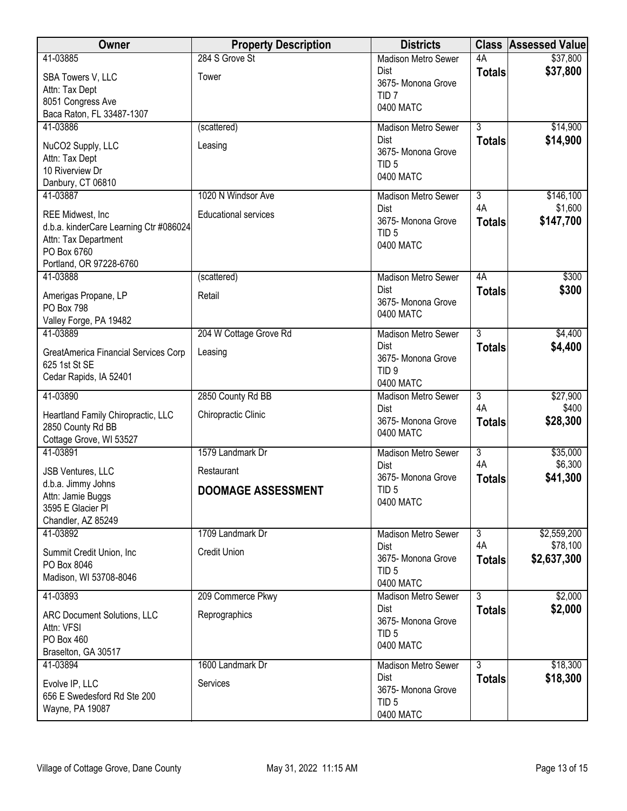| Owner                                                      | <b>Property Description</b> | <b>Districts</b>                          |                      | <b>Class Assessed Value</b> |
|------------------------------------------------------------|-----------------------------|-------------------------------------------|----------------------|-----------------------------|
| 41-03885                                                   | 284 S Grove St              | <b>Madison Metro Sewer</b>                | 4A                   | \$37,800                    |
| SBA Towers V, LLC                                          | Tower                       | <b>Dist</b>                               | <b>Totals</b>        | \$37,800                    |
| Attn: Tax Dept                                             |                             | 3675- Monona Grove<br>TID <sub>7</sub>    |                      |                             |
| 8051 Congress Ave                                          |                             | 0400 MATC                                 |                      |                             |
| Baca Raton, FL 33487-1307                                  |                             |                                           |                      |                             |
| 41-03886                                                   | (scattered)                 | <b>Madison Metro Sewer</b><br><b>Dist</b> | $\overline{3}$       | \$14,900<br>\$14,900        |
| NuCO2 Supply, LLC                                          | Leasing                     | 3675- Monona Grove                        | <b>Totals</b>        |                             |
| Attn: Tax Dept                                             |                             | TID <sub>5</sub>                          |                      |                             |
| 10 Riverview Dr<br>Danbury, CT 06810                       |                             | 0400 MATC                                 |                      |                             |
| 41-03887                                                   | 1020 N Windsor Ave          | Madison Metro Sewer                       | $\overline{3}$       | \$146,100                   |
|                                                            |                             | Dist                                      | 4A                   | \$1,600                     |
| REE Midwest, Inc<br>d.b.a. kinderCare Learning Ctr #086024 | <b>Educational services</b> | 3675- Monona Grove                        | <b>Totals</b>        | \$147,700                   |
| Attn: Tax Department                                       |                             | TID <sub>5</sub>                          |                      |                             |
| PO Box 6760                                                |                             | 0400 MATC                                 |                      |                             |
| Portland, OR 97228-6760                                    |                             |                                           |                      |                             |
| 41-03888                                                   | (scattered)                 | Madison Metro Sewer                       | 4A                   | \$300                       |
| Amerigas Propane, LP                                       | Retail                      | Dist<br>3675- Monona Grove                | <b>Totals</b>        | \$300                       |
| <b>PO Box 798</b>                                          |                             | 0400 MATC                                 |                      |                             |
| Valley Forge, PA 19482<br>41-03889                         | 204 W Cottage Grove Rd      | <b>Madison Metro Sewer</b>                | $\overline{3}$       | \$4,400                     |
|                                                            |                             | Dist                                      | <b>Totals</b>        | \$4,400                     |
| GreatAmerica Financial Services Corp<br>625 1st St SE      | Leasing                     | 3675- Monona Grove                        |                      |                             |
| Cedar Rapids, IA 52401                                     |                             | TID <sub>9</sub>                          |                      |                             |
|                                                            |                             | 0400 MATC                                 |                      |                             |
| 41-03890                                                   | 2850 County Rd BB           | <b>Madison Metro Sewer</b><br>Dist        | $\overline{3}$<br>4A | \$27,900<br>\$400           |
| Heartland Family Chiropractic, LLC                         | Chiropractic Clinic         | 3675- Monona Grove                        | <b>Totals</b>        | \$28,300                    |
| 2850 County Rd BB<br>Cottage Grove, WI 53527               |                             | 0400 MATC                                 |                      |                             |
| 41-03891                                                   | 1579 Landmark Dr            | <b>Madison Metro Sewer</b>                | $\overline{3}$       | \$35,000                    |
| JSB Ventures, LLC                                          | Restaurant                  | <b>Dist</b>                               | 4A                   | \$6,300                     |
| d.b.a. Jimmy Johns                                         |                             | 3675- Monona Grove                        | <b>Totals</b>        | \$41,300                    |
| Attn: Jamie Buggs                                          | <b>DOOMAGE ASSESSMENT</b>   | TID <sub>5</sub><br>0400 MATC             |                      |                             |
| 3595 E Glacier PI                                          |                             |                                           |                      |                             |
| Chandler, AZ 85249<br>41-03892                             | 1709 Landmark Dr            | <b>Madison Metro Sewer</b>                | $\overline{3}$       | \$2,559,200                 |
|                                                            |                             | Dist                                      | 4A                   | \$78,100                    |
| Summit Credit Union, Inc.<br>PO Box 8046                   | <b>Credit Union</b>         | 3675- Monona Grove                        | <b>Totals</b>        | \$2,637,300                 |
| Madison, WI 53708-8046                                     |                             | TID <sub>5</sub>                          |                      |                             |
| 41-03893                                                   |                             | 0400 MATC                                 | $\overline{3}$       |                             |
|                                                            | 209 Commerce Pkwy           | <b>Madison Metro Sewer</b><br><b>Dist</b> | <b>Totals</b>        | \$2,000<br>\$2,000          |
| ARC Document Solutions, LLC                                | Reprographics               | 3675- Monona Grove                        |                      |                             |
| Attn: VFSI<br>PO Box 460                                   |                             | TID <sub>5</sub>                          |                      |                             |
| Braselton, GA 30517                                        |                             | 0400 MATC                                 |                      |                             |
| 41-03894                                                   | 1600 Landmark Dr            | Madison Metro Sewer                       | 3                    | \$18,300                    |
| Evolve IP, LLC                                             | Services                    | <b>Dist</b>                               | <b>Totals</b>        | \$18,300                    |
| 656 E Swedesford Rd Ste 200                                |                             | 3675- Monona Grove<br>TID <sub>5</sub>    |                      |                             |
| Wayne, PA 19087                                            |                             | 0400 MATC                                 |                      |                             |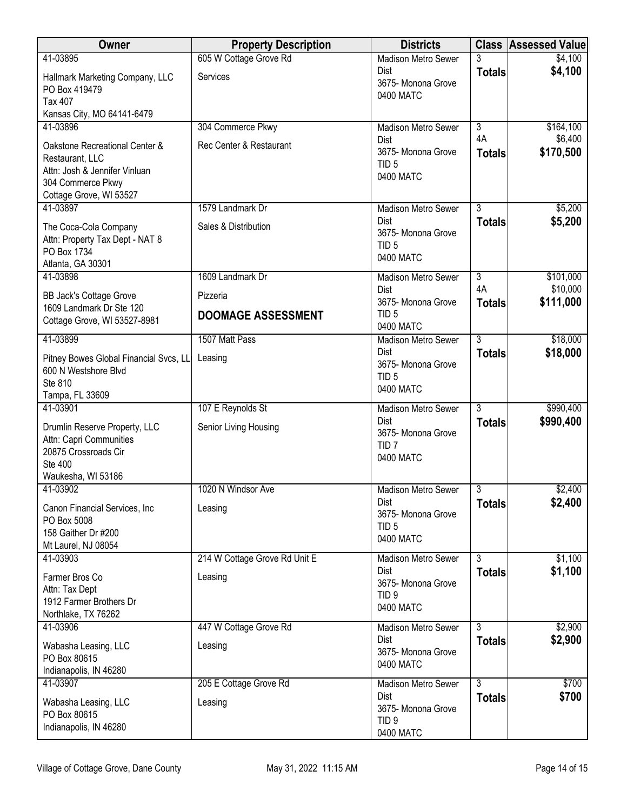| Owner                                                                                                                              | <b>Property Description</b>   | <b>Districts</b>                                                   |                     | <b>Class Assessed Value</b> |
|------------------------------------------------------------------------------------------------------------------------------------|-------------------------------|--------------------------------------------------------------------|---------------------|-----------------------------|
| 41-03895                                                                                                                           | 605 W Cottage Grove Rd        | <b>Madison Metro Sewer</b>                                         | 3                   | \$4,100                     |
| Hallmark Marketing Company, LLC<br>PO Box 419479<br><b>Tax 407</b>                                                                 | Services                      | <b>Dist</b><br>3675- Monona Grove<br>0400 MATC                     | <b>Totals</b>       | \$4,100                     |
| Kansas City, MO 64141-6479                                                                                                         |                               |                                                                    |                     |                             |
| 41-03896                                                                                                                           | 304 Commerce Pkwy             | <b>Madison Metro Sewer</b>                                         | $\overline{3}$      | \$164,100                   |
| Oakstone Recreational Center &<br>Restaurant, LLC<br>Attn: Josh & Jennifer Vinluan<br>304 Commerce Pkwy<br>Cottage Grove, WI 53527 | Rec Center & Restaurant       | <b>Dist</b><br>3675- Monona Grove<br>TID <sub>5</sub><br>0400 MATC | 4A<br><b>Totals</b> | \$6,400<br>\$170,500        |
| 41-03897                                                                                                                           | 1579 Landmark Dr              | <b>Madison Metro Sewer</b>                                         | 3                   | \$5,200                     |
| The Coca-Cola Company<br>Attn: Property Tax Dept - NAT 8<br>PO Box 1734<br>Atlanta, GA 30301                                       | Sales & Distribution          | <b>Dist</b><br>3675- Monona Grove<br>TID <sub>5</sub><br>0400 MATC | <b>Totals</b>       | \$5,200                     |
| 41-03898                                                                                                                           | 1609 Landmark Dr              | Madison Metro Sewer                                                | $\overline{3}$      | \$101,000                   |
| <b>BB Jack's Cottage Grove</b>                                                                                                     | Pizzeria                      | <b>Dist</b><br>3675- Monona Grove                                  | 4A<br><b>Totals</b> | \$10,000<br>\$111,000       |
| 1609 Landmark Dr Ste 120<br>Cottage Grove, WI 53527-8981                                                                           | <b>DOOMAGE ASSESSMENT</b>     | TID <sub>5</sub><br>0400 MATC                                      |                     |                             |
| 41-03899                                                                                                                           | 1507 Matt Pass                | <b>Madison Metro Sewer</b>                                         | 3                   | \$18,000                    |
| Pitney Bowes Global Financial Svcs, LL<br>600 N Westshore Blvd<br>Ste 810<br>Tampa, FL 33609                                       | Leasing                       | Dist<br>3675- Monona Grove<br>TID <sub>5</sub><br>0400 MATC        | <b>Totals</b>       | \$18,000                    |
| 41-03901                                                                                                                           | 107 E Reynolds St             | <b>Madison Metro Sewer</b>                                         | $\overline{3}$      | \$990,400                   |
| Drumlin Reserve Property, LLC<br>Attn: Capri Communities<br>20875 Crossroads Cir<br>Ste 400<br>Waukesha, WI 53186                  | Senior Living Housing         | <b>Dist</b><br>3675- Monona Grove<br>TID <sub>7</sub><br>0400 MATC | <b>Totals</b>       | \$990,400                   |
| 41-03902                                                                                                                           | 1020 N Windsor Ave            | <b>Madison Metro Sewer</b>                                         | $\overline{3}$      | \$2,400                     |
| Canon Financial Services, Inc.<br>PO Box 5008<br>158 Gaither Dr #200<br>Mt Laurel, NJ 08054                                        | Leasing                       | <b>Dist</b><br>3675- Monona Grove<br>TID <sub>5</sub><br>0400 MATC | <b>Totals</b>       | \$2,400                     |
| 41-03903                                                                                                                           | 214 W Cottage Grove Rd Unit E | Madison Metro Sewer                                                | $\overline{3}$      | \$1,100                     |
| Farmer Bros Co<br>Attn: Tax Dept<br>1912 Farmer Brothers Dr<br>Northlake, TX 76262                                                 | Leasing                       | <b>Dist</b><br>3675- Monona Grove<br>TID <sub>9</sub><br>0400 MATC | <b>Totals</b>       | \$1,100                     |
| 41-03906                                                                                                                           | 447 W Cottage Grove Rd        | Madison Metro Sewer                                                | $\overline{3}$      | \$2,900                     |
| Wabasha Leasing, LLC<br>PO Box 80615<br>Indianapolis, IN 46280                                                                     | Leasing                       | Dist<br>3675- Monona Grove<br>0400 MATC                            | <b>Totals</b>       | \$2,900                     |
| 41-03907                                                                                                                           | 205 E Cottage Grove Rd        | Madison Metro Sewer<br><b>Dist</b>                                 | $\overline{3}$      | \$700                       |
| Wabasha Leasing, LLC<br>PO Box 80615<br>Indianapolis, IN 46280                                                                     | Leasing                       | 3675- Monona Grove<br>TID <sub>9</sub><br>0400 MATC                | <b>Totals</b>       | \$700                       |